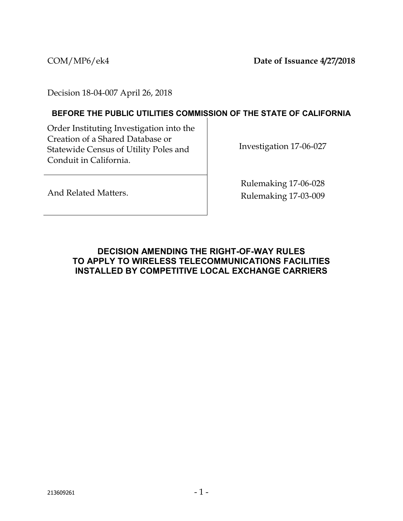COM/MP6/ek4 **Date of Issuance 4/27/2018**

Decision 18-04-007 April 26, 2018

#### **BEFORE THE PUBLIC UTILITIES COMMISSION OF THE STATE OF CALIFORNIA**

Order Instituting Investigation into the Creation of a Shared Database or Statewide Census of Utility Poles and Conduit in California.

Investigation 17-06-027

And Related Matters.

Rulemaking 17-06-028 Rulemaking 17-03-009

## **DECISION AMENDING THE RIGHT-OF-WAY RULES TO APPLY TO WIRELESS TELECOMMUNICATIONS FACILITIES INSTALLED BY COMPETITIVE LOCAL EXCHANGE CARRIERS**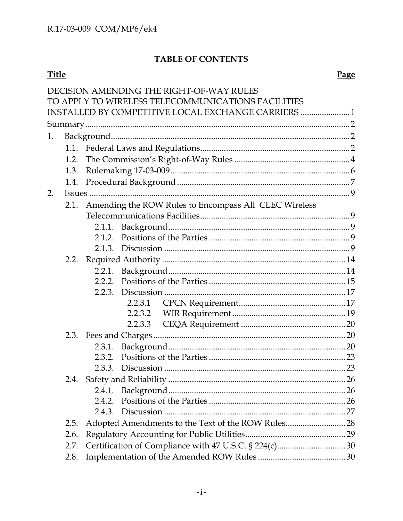# TABLE OF CONTENTS

# **Title**

|                                                     |      | DECISION AMENDING THE RIGHT-OF-WAY RULES                   |  |  |
|-----------------------------------------------------|------|------------------------------------------------------------|--|--|
|                                                     |      | TO APPLY TO WIRELESS TELECOMMUNICATIONS FACILITIES         |  |  |
| INSTALLED BY COMPETITIVE LOCAL EXCHANGE CARRIERS  1 |      |                                                            |  |  |
|                                                     |      |                                                            |  |  |
| 1.                                                  |      |                                                            |  |  |
|                                                     |      |                                                            |  |  |
|                                                     | 1.2. |                                                            |  |  |
|                                                     | 1.3. |                                                            |  |  |
|                                                     | 1.4. |                                                            |  |  |
| 2.                                                  |      |                                                            |  |  |
|                                                     |      | 2.1. Amending the ROW Rules to Encompass All CLEC Wireless |  |  |
|                                                     |      |                                                            |  |  |
|                                                     |      |                                                            |  |  |
|                                                     |      | 2.1.2.                                                     |  |  |
|                                                     |      |                                                            |  |  |
|                                                     |      |                                                            |  |  |
|                                                     |      |                                                            |  |  |
|                                                     |      | 2.2.2.                                                     |  |  |
|                                                     |      | 2.2.3.                                                     |  |  |
|                                                     |      | 2.2.3.1                                                    |  |  |
|                                                     |      |                                                            |  |  |
|                                                     |      | 2.2.3.3                                                    |  |  |
|                                                     |      |                                                            |  |  |
|                                                     |      | 2.3.1.                                                     |  |  |
|                                                     |      | 2.3.2.<br>2.3.3.                                           |  |  |
|                                                     |      |                                                            |  |  |
|                                                     | 2.4. |                                                            |  |  |
|                                                     |      | 2.4.2.                                                     |  |  |
|                                                     |      | 2.4.3.                                                     |  |  |
|                                                     | 2.5. | Adopted Amendments to the Text of the ROW Rules 28         |  |  |
|                                                     | 2.6. |                                                            |  |  |
|                                                     | 2.7. |                                                            |  |  |
|                                                     | 2.8. |                                                            |  |  |
|                                                     |      |                                                            |  |  |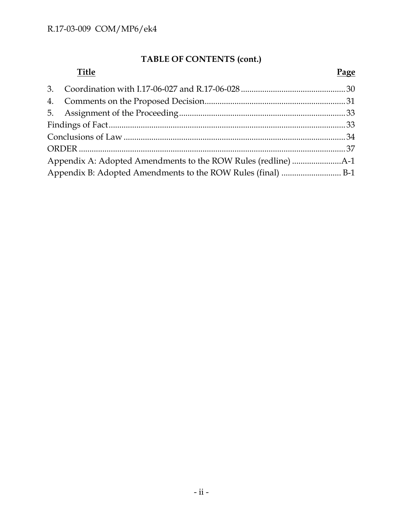# **TABLE OF CONTENTS (cont.)**

| <b>Title</b> | Page |  |
|--------------|------|--|
|              |      |  |
|              |      |  |
|              |      |  |
|              |      |  |
|              |      |  |
|              |      |  |
|              |      |  |
|              |      |  |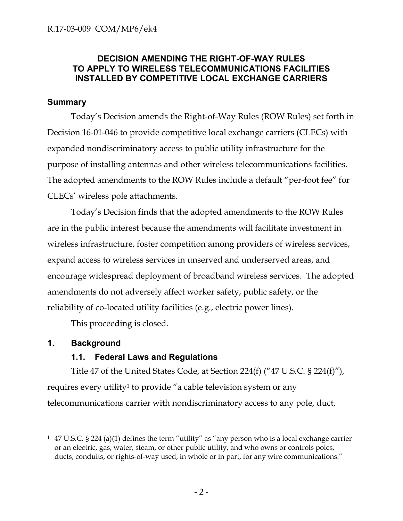## **DECISION AMENDING THE RIGHT-OF-WAY RULES TO APPLY TO WIRELESS TELECOMMUNICATIONS FACILITIES INSTALLED BY COMPETITIVE LOCAL EXCHANGE CARRIERS**

#### **Summary**

Today's Decision amends the Right-of-Way Rules (ROW Rules) set forth in Decision 16-01-046 to provide competitive local exchange carriers (CLECs) with expanded nondiscriminatory access to public utility infrastructure for the purpose of installing antennas and other wireless telecommunications facilities. The adopted amendments to the ROW Rules include a default "per-foot fee" for CLECs' wireless pole attachments.

Today's Decision finds that the adopted amendments to the ROW Rules are in the public interest because the amendments will facilitate investment in wireless infrastructure, foster competition among providers of wireless services, expand access to wireless services in unserved and underserved areas, and encourage widespread deployment of broadband wireless services. The adopted amendments do not adversely affect worker safety, public safety, or the reliability of co-located utility facilities (e.g., electric power lines).

This proceeding is closed.

## **1. Background**

 $\overline{a}$ 

## **1.1. Federal Laws and Regulations**

Title 47 of the United States Code, at Section 224(f) ("47 U.S.C. § 224(f)"), requires every utility<sup>1</sup> to provide "a cable television system or any telecommunications carrier with nondiscriminatory access to any pole, duct,

<sup>&</sup>lt;sup>1</sup> 47 U.S.C. § 224 (a)(1) defines the term "utility" as "any person who is a local exchange carrier or an electric, gas, water, steam, or other public utility, and who owns or controls poles, ducts, conduits, or rights-of-way used, in whole or in part, for any wire communications."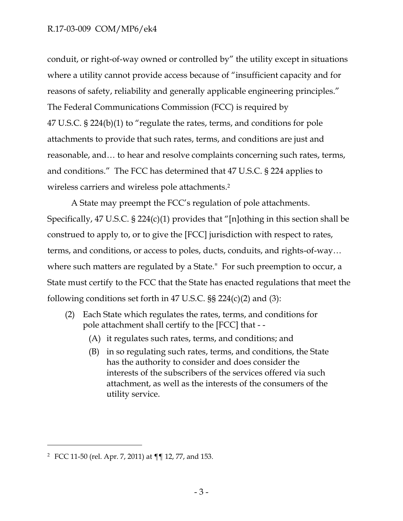### R.17-03-009 COM/MP6/ek4

conduit, or right-of-way owned or controlled by" the utility except in situations where a utility cannot provide access because of "insufficient capacity and for reasons of safety, reliability and generally applicable engineering principles." The Federal Communications Commission (FCC) is required by 47 U.S.C. § 224(b)(1) to "regulate the rates, terms, and conditions for pole attachments to provide that such rates, terms, and conditions are just and reasonable, and… to hear and resolve complaints concerning such rates, terms, and conditions." The FCC has determined that 47 U.S.C. § 224 applies to wireless carriers and wireless pole attachments. 2

A State may preempt the FCC's regulation of pole attachments. Specifically, 47 U.S.C. § 224(c)(1) provides that "[n]othing in this section shall be construed to apply to, or to give the [FCC] jurisdiction with respect to rates, terms, and conditions, or access to poles, ducts, conduits, and rights-of-way… where such matters are regulated by a State." For such preemption to occur, a State must certify to the FCC that the State has enacted regulations that meet the following conditions set forth in 47 U.S.C.  $\S$  224(c)(2) and (3):

- (2) Each State which regulates the rates, terms, and conditions for pole attachment shall certify to the [FCC] that - -
	- (A) it regulates such rates, terms, and conditions; and
	- (B) in so regulating such rates, terms, and conditions, the State has the authority to consider and does consider the interests of the subscribers of the services offered via such attachment, as well as the interests of the consumers of the utility service.

<sup>2</sup> FCC 11-50 (rel. Apr. 7, 2011) at ¶¶ 12, 77, and 153.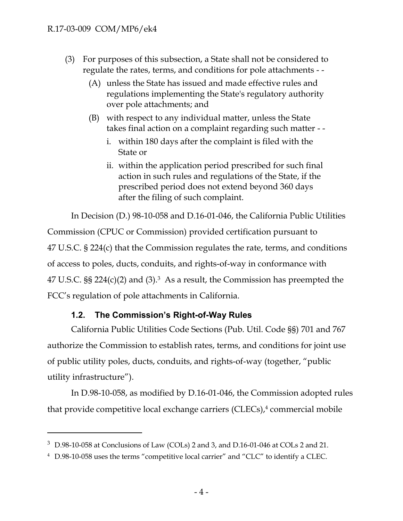#### R.17-03-009 COM/MP6/ek4

 $\overline{a}$ 

- (3) For purposes of this subsection, a State shall not be considered to regulate the rates, terms, and conditions for pole attachments - -
	- (A) unless the State has issued and made effective rules and regulations implementing the State's regulatory authority over pole attachments; and
	- (B) with respect to any individual matter, unless the State takes final action on a complaint regarding such matter -
		- i. within 180 days after the complaint is filed with the State or
		- ii. within the application period prescribed for such final action in such rules and regulations of the State, if the prescribed period does not extend beyond 360 days after the filing of such complaint.

In Decision (D.) 98-10-058 and D.16-01-046, the California Public Utilities Commission (CPUC or Commission) provided certification pursuant to 47 U.S.C. § 224(c) that the Commission regulates the rate, terms, and conditions of access to poles, ducts, conduits, and rights-of-way in conformance with  $47$  U.S.C.  $\S$  $\S$  224(c)(2) and (3).<sup>3</sup> As a result, the Commission has preempted the FCC's regulation of pole attachments in California.

#### **1.2. The Commission's Right-of-Way Rules**

California Public Utilities Code Sections (Pub. Util. Code §§) 701 and 767 authorize the Commission to establish rates, terms, and conditions for joint use of public utility poles, ducts, conduits, and rights-of-way (together, "public utility infrastructure").

In D.98-10-058, as modified by D.16-01-046, the Commission adopted rules that provide competitive local exchange carriers (CLECs), <sup>4</sup> commercial mobile

 $3\,$  D.98-10-058 at Conclusions of Law (COLs) 2 and 3, and D.16-01-046 at COLs 2 and 21.

<sup>4</sup> D.98-10-058 uses the terms "competitive local carrier" and "CLC" to identify a CLEC.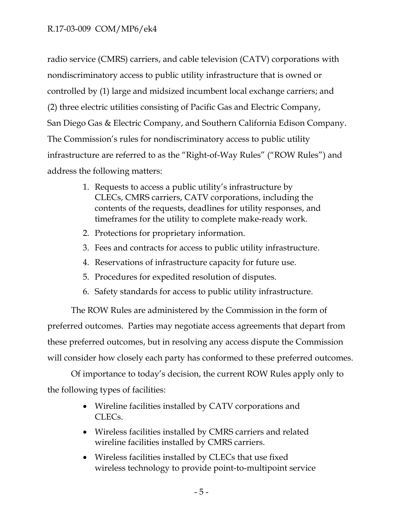radio service (CMRS) carriers, and cable television (CATV) corporations with nondiscriminatory access to public utility infrastructure that is owned or controlled by (1) large and midsized incumbent local exchange carriers; and (2) three electric utilities consisting of Pacific Gas and Electric Company, San Diego Gas & Electric Company, and Southern California Edison Company. The Commission's rules for nondiscriminatory access to public utility infrastructure are referred to as the "Right-of-Way Rules" ("ROW Rules") and address the following matters:

- 1. Requests to access a public utility's infrastructure by CLECs, CMRS carriers, CATV corporations, including the contents of the requests, deadlines for utility responses, and timeframes for the utility to complete make-ready work.
- 2. Protections for proprietary information.
- 3. Fees and contracts for access to public utility infrastructure.
- 4. Reservations of infrastructure capacity for future use.
- 5. Procedures for expedited resolution of disputes.
- 6. Safety standards for access to public utility infrastructure.

The ROW Rules are administered by the Commission in the form of preferred outcomes. Parties may negotiate access agreements that depart from these preferred outcomes, but in resolving any access dispute the Commission will consider how closely each party has conformed to these preferred outcomes.

Of importance to today's decision, the current ROW Rules apply only to the following types of facilities:

- Wireline facilities installed by CATV corporations and CLECs.
- Wireless facilities installed by CMRS carriers and related wireline facilities installed by CMRS carriers.
- Wireless facilities installed by CLECs that use fixed wireless technology to provide point-to-multipoint service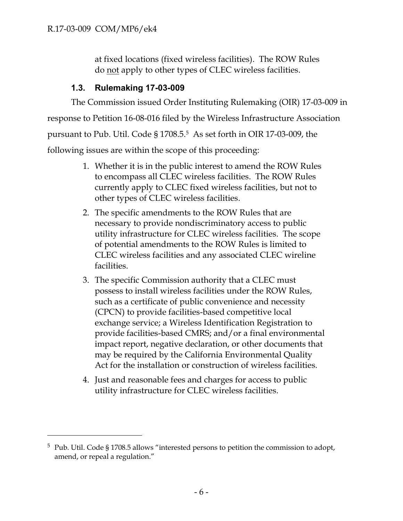$\overline{a}$ 

at fixed locations (fixed wireless facilities). The ROW Rules do not apply to other types of CLEC wireless facilities.

## **1.3. Rulemaking 17-03-009**

The Commission issued Order Instituting Rulemaking (OIR) 17-03-009 in response to Petition 16-08-016 filed by the Wireless Infrastructure Association pursuant to Pub. Util. Code § 1708.5. 5 As set forth in OIR 17-03-009, the following issues are within the scope of this proceeding:

- 1. Whether it is in the public interest to amend the ROW Rules to encompass all CLEC wireless facilities. The ROW Rules currently apply to CLEC fixed wireless facilities, but not to other types of CLEC wireless facilities.
- 2. The specific amendments to the ROW Rules that are necessary to provide nondiscriminatory access to public utility infrastructure for CLEC wireless facilities. The scope of potential amendments to the ROW Rules is limited to CLEC wireless facilities and any associated CLEC wireline facilities.
- 3. The specific Commission authority that a CLEC must possess to install wireless facilities under the ROW Rules, such as a certificate of public convenience and necessity (CPCN) to provide facilities-based competitive local exchange service; a Wireless Identification Registration to provide facilities-based CMRS; and/or a final environmental impact report, negative declaration, or other documents that may be required by the California Environmental Quality Act for the installation or construction of wireless facilities.
- 4. Just and reasonable fees and charges for access to public utility infrastructure for CLEC wireless facilities.

<sup>&</sup>lt;sup>5</sup> Pub. Util. Code § 1708.5 allows "interested persons to petition the commission to adopt, amend, or repeal a regulation."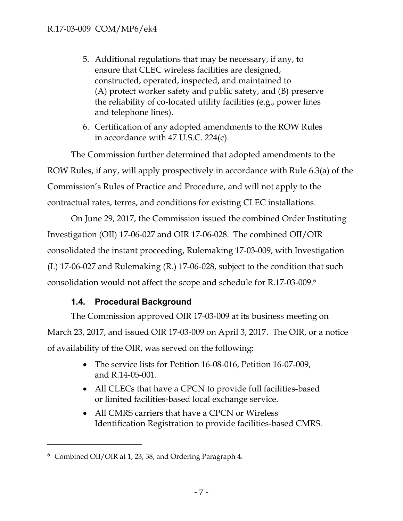- 5. Additional regulations that may be necessary, if any, to ensure that CLEC wireless facilities are designed, constructed, operated, inspected, and maintained to (A) protect worker safety and public safety, and (B) preserve the reliability of co-located utility facilities (e.g., power lines and telephone lines).
- 6. Certification of any adopted amendments to the ROW Rules in accordance with 47 U.S.C. 224(c).

The Commission further determined that adopted amendments to the ROW Rules, if any, will apply prospectively in accordance with Rule 6.3(a) of the Commission's Rules of Practice and Procedure, and will not apply to the contractual rates, terms, and conditions for existing CLEC installations.

On June 29, 2017, the Commission issued the combined Order Instituting Investigation (OII) 17-06-027 and OIR 17-06-028. The combined OII/OIR consolidated the instant proceeding, Rulemaking 17-03-009, with Investigation (I.) 17-06-027 and Rulemaking (R.) 17-06-028, subject to the condition that such consolidation would not affect the scope and schedule for R.17-03-009.<sup>6</sup>

## **1.4. Procedural Background**

The Commission approved OIR 17-03-009 at its business meeting on March 23, 2017, and issued OIR 17-03-009 on April 3, 2017. The OIR, or a notice of availability of the OIR, was served on the following:

- The service lists for Petition 16-08-016, Petition 16-07-009, and R.14-05-001.
- All CLECs that have a CPCN to provide full facilities-based or limited facilities-based local exchange service.
- All CMRS carriers that have a CPCN or Wireless Identification Registration to provide facilities-based CMRS.

 $6$  Combined OII/OIR at 1, 23, 38, and Ordering Paragraph 4.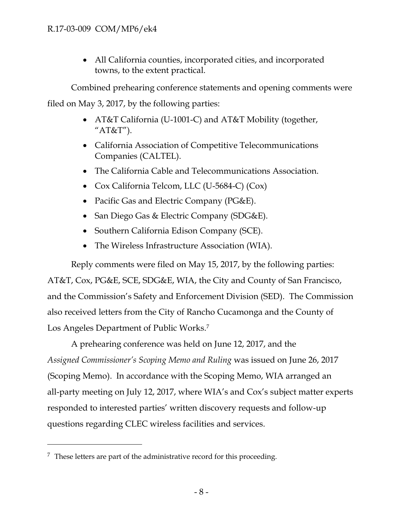All California counties, incorporated cities, and incorporated towns, to the extent practical.

Combined prehearing conference statements and opening comments were filed on May 3, 2017, by the following parties:

- AT&T California (U-1001-C) and AT&T Mobility (together, " $AT&T"$ ).
- California Association of Competitive Telecommunications Companies (CALTEL).
- The California Cable and Telecommunications Association.
- Cox California Telcom, LLC (U-5684-C) (Cox)
- Pacific Gas and Electric Company (PG&E).
- San Diego Gas & Electric Company (SDG&E).
- Southern California Edison Company (SCE).
- The Wireless Infrastructure Association (WIA).

Reply comments were filed on May 15, 2017, by the following parties: AT&T, Cox, PG&E, SCE, SDG&E, WIA, the City and County of San Francisco, and the Commission's Safety and Enforcement Division (SED). The Commission also received letters from the City of Rancho Cucamonga and the County of Los Angeles Department of Public Works.<sup>7</sup>

A prehearing conference was held on June 12, 2017, and the *Assigned Commissioner's Scoping Memo and Ruling* was issued on June 26, 2017 (Scoping Memo). In accordance with the Scoping Memo, WIA arranged an all-party meeting on July 12, 2017, where WIA's and Cox's subject matter experts responded to interested parties' written discovery requests and follow-up questions regarding CLEC wireless facilities and services.

 $7$  These letters are part of the administrative record for this proceeding.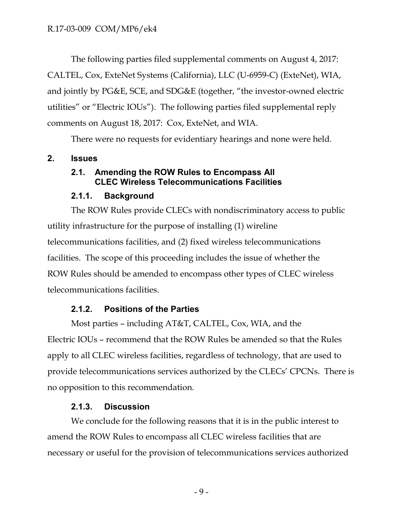The following parties filed supplemental comments on August 4, 2017: CALTEL, Cox, ExteNet Systems (California), LLC (U-6959-C) (ExteNet), WIA, and jointly by PG&E, SCE, and SDG&E (together, "the investor-owned electric utilities" or "Electric IOUs"). The following parties filed supplemental reply comments on August 18, 2017: Cox, ExteNet, and WIA.

There were no requests for evidentiary hearings and none were held.

## **2. Issues**

## **2.1. Amending the ROW Rules to Encompass All CLEC Wireless Telecommunications Facilities**

## **2.1.1. Background**

The ROW Rules provide CLECs with nondiscriminatory access to public utility infrastructure for the purpose of installing (1) wireline telecommunications facilities, and (2) fixed wireless telecommunications facilities. The scope of this proceeding includes the issue of whether the ROW Rules should be amended to encompass other types of CLEC wireless telecommunications facilities.

## **2.1.2. Positions of the Parties**

Most parties – including AT&T, CALTEL, Cox, WIA, and the Electric IOUs – recommend that the ROW Rules be amended so that the Rules apply to all CLEC wireless facilities, regardless of technology, that are used to provide telecommunications services authorized by the CLECs' CPCNs. There is no opposition to this recommendation.

## **2.1.3. Discussion**

We conclude for the following reasons that it is in the public interest to amend the ROW Rules to encompass all CLEC wireless facilities that are necessary or useful for the provision of telecommunications services authorized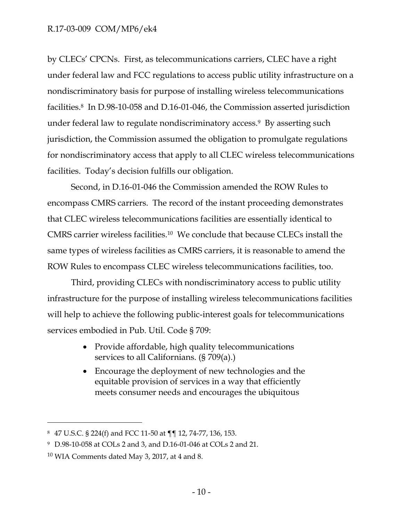by CLECs' CPCNs. First, as telecommunications carriers, CLEC have a right under federal law and FCC regulations to access public utility infrastructure on a nondiscriminatory basis for purpose of installing wireless telecommunications facilities. <sup>8</sup> In D.98-10-058 and D.16-01-046, the Commission asserted jurisdiction under federal law to regulate nondiscriminatory access. <sup>9</sup> By asserting such jurisdiction, the Commission assumed the obligation to promulgate regulations for nondiscriminatory access that apply to all CLEC wireless telecommunications facilities. Today's decision fulfills our obligation.

Second, in D.16-01-046 the Commission amended the ROW Rules to encompass CMRS carriers. The record of the instant proceeding demonstrates that CLEC wireless telecommunications facilities are essentially identical to CMRS carrier wireless facilities. $10$  We conclude that because CLECs install the same types of wireless facilities as CMRS carriers, it is reasonable to amend the ROW Rules to encompass CLEC wireless telecommunications facilities, too.

Third, providing CLECs with nondiscriminatory access to public utility infrastructure for the purpose of installing wireless telecommunications facilities will help to achieve the following public-interest goals for telecommunications services embodied in Pub. Util. Code § 709:

- Provide affordable, high quality telecommunications services to all Californians. (§ 709(a).)
- Encourage the deployment of new technologies and the equitable provision of services in a way that efficiently meets consumer needs and encourages the ubiquitous

<sup>8</sup> 47 U.S.C. § 224(f) and FCC 11-50 at ¶¶ 12, 74-77, 136, 153.

<sup>9</sup> D.98-10-058 at COLs 2 and 3, and D.16-01-046 at COLs 2 and 21.

<sup>10</sup> WIA Comments dated May 3, 2017, at 4 and 8.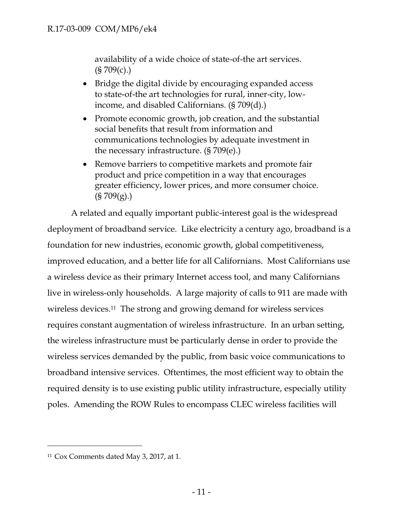availability of a wide choice of state-of-the art services.  $(S709(c))$ 

- Bridge the digital divide by encouraging expanded access to state-of-the art technologies for rural, inner-city, lowincome, and disabled Californians. (§ 709(d).)
- Promote economic growth, job creation, and the substantial social benefits that result from information and communications technologies by adequate investment in the necessary infrastructure. (§ 709(e).)
- Remove barriers to competitive markets and promote fair product and price competition in a way that encourages greater efficiency, lower prices, and more consumer choice.  $(S709(g))$

A related and equally important public-interest goal is the widespread deployment of broadband service. Like electricity a century ago, broadband is a foundation for new industries, economic growth, global competitiveness, improved education, and a better life for all Californians. Most Californians use a wireless device as their primary Internet access tool, and many Californians live in wireless-only households. A large majority of calls to 911 are made with wireless devices. <sup>11</sup> The strong and growing demand for wireless services requires constant augmentation of wireless infrastructure. In an urban setting, the wireless infrastructure must be particularly dense in order to provide the wireless services demanded by the public, from basic voice communications to broadband intensive services. Oftentimes, the most efficient way to obtain the required density is to use existing public utility infrastructure, especially utility poles. Amending the ROW Rules to encompass CLEC wireless facilities will

<sup>11</sup> Cox Comments dated May 3, 2017, at 1.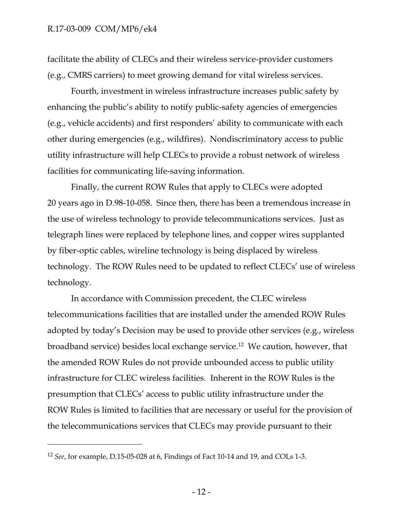facilitate the ability of CLECs and their wireless service-provider customers (e.g., CMRS carriers) to meet growing demand for vital wireless services.

Fourth, investment in wireless infrastructure increases public safety by enhancing the public's ability to notify public-safety agencies of emergencies (e.g., vehicle accidents) and first responders' ability to communicate with each other during emergencies (e.g., wildfires). Nondiscriminatory access to public utility infrastructure will help CLECs to provide a robust network of wireless facilities for communicating life-saving information.

Finally, the current ROW Rules that apply to CLECs were adopted 20 years ago in D.98-10-058. Since then, there has been a tremendous increase in the use of wireless technology to provide telecommunications services. Just as telegraph lines were replaced by telephone lines, and copper wires supplanted by fiber-optic cables, wireline technology is being displaced by wireless technology. The ROW Rules need to be updated to reflect CLECs' use of wireless technology.

In accordance with Commission precedent, the CLEC wireless telecommunications facilities that are installed under the amended ROW Rules adopted by today's Decision may be used to provide other services (e.g., wireless broadband service) besides local exchange service.<sup>12</sup> We caution, however, that the amended ROW Rules do not provide unbounded access to public utility infrastructure for CLEC wireless facilities. Inherent in the ROW Rules is the presumption that CLECs' access to public utility infrastructure under the ROW Rules is limited to facilities that are necessary or useful for the provision of the telecommunications services that CLECs may provide pursuant to their

<sup>12</sup> *See*, for example, D.15-05-028 at 6, Findings of Fact 10-14 and 19, and COLs 1-3.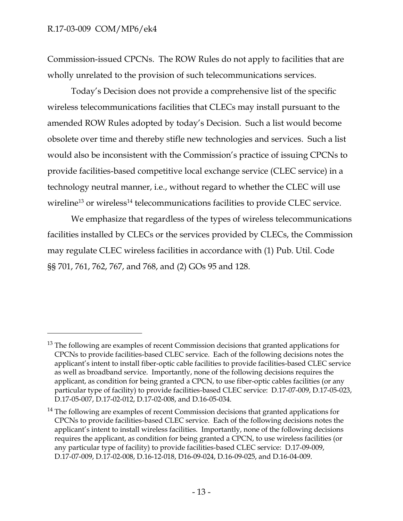$\overline{a}$ 

Commission-issued CPCNs. The ROW Rules do not apply to facilities that are wholly unrelated to the provision of such telecommunications services.

Today's Decision does not provide a comprehensive list of the specific wireless telecommunications facilities that CLECs may install pursuant to the amended ROW Rules adopted by today's Decision. Such a list would become obsolete over time and thereby stifle new technologies and services. Such a list would also be inconsistent with the Commission's practice of issuing CPCNs to provide facilities-based competitive local exchange service (CLEC service) in a technology neutral manner, i.e., without regard to whether the CLEC will use wireline<sup>13</sup> or wireless<sup>14</sup> telecommunications facilities to provide CLEC service.

<span id="page-14-0"></span>We emphasize that regardless of the types of wireless telecommunications facilities installed by CLECs or the services provided by CLECs, the Commission may regulate CLEC wireless facilities in accordance with (1) Pub. Util. Code §§ 701, 761, 762, 767, and 768, and (2) GOs 95 and 128.

<sup>&</sup>lt;sup>13</sup> The following are examples of recent Commission decisions that granted applications for CPCNs to provide facilities-based CLEC service. Each of the following decisions notes the applicant's intent to install fiber-optic cable facilities to provide facilities-based CLEC service as well as broadband service. Importantly, none of the following decisions requires the applicant, as condition for being granted a CPCN, to use fiber-optic cables facilities (or any particular type of facility) to provide facilities-based CLEC service: D.17-07-009, D.17-05-023, D.17-05-007, D.17-02-012, D.17-02-008, and D.16-05-034.

<sup>&</sup>lt;sup>14</sup> The following are examples of recent Commission decisions that granted applications for CPCNs to provide facilities-based CLEC service. Each of the following decisions notes the applicant's intent to install wireless facilities. Importantly, none of the following decisions requires the applicant, as condition for being granted a CPCN, to use wireless facilities (or any particular type of facility) to provide facilities-based CLEC service: D.17-09-009, D.17-07-009, D.17-02-008, D.16-12-018, D16-09-024, D.16-09-025, and D.16-04-009.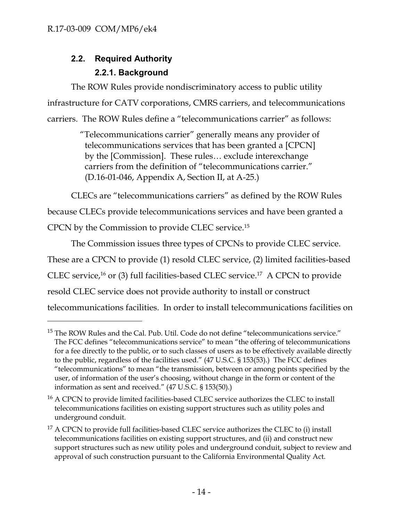$\overline{a}$ 

## **2.2. Required Authority 2.2.1. Background**

The ROW Rules provide nondiscriminatory access to public utility infrastructure for CATV corporations, CMRS carriers, and telecommunications carriers. The ROW Rules define a "telecommunications carrier" as follows:

> "Telecommunications carrier" generally means any provider of telecommunications services that has been granted a [CPCN] by the [Commission]. These rules… exclude interexchange carriers from the definition of "telecommunications carrier." (D.16-01-046, Appendix A, Section II, at A-25.)

CLECs are "telecommunications carriers" as defined by the ROW Rules because CLECs provide telecommunications services and have been granted a CPCN by the Commission to provide CLEC service. 15

The Commission issues three types of CPCNs to provide CLEC service. These are a CPCN to provide (1) resold CLEC service, (2) limited facilities-based CLEC service, <sup>16</sup> or (3) full facilities-based CLEC service. 17 A CPCN to provide resold CLEC service does not provide authority to install or construct telecommunications facilities. In order to install telecommunications facilities on

 $15$  The ROW Rules and the Cal. Pub. Util. Code do not define "telecommunications service." The FCC defines "telecommunications service" to mean "the offering of telecommunications for a fee directly to the public, or to such classes of users as to be effectively available directly to the public, regardless of the facilities used." (47 U.S.C. § 153(53).) The FCC defines "telecommunications" to mean "the transmission, between or among points specified by the user, of information of the user's choosing, without change in the form or content of the information as sent and received." (47 U.S.C. § 153(50).)

<sup>&</sup>lt;sup>16</sup> A CPCN to provide limited facilities-based CLEC service authorizes the CLEC to install telecommunications facilities on existing support structures such as utility poles and underground conduit.

 $17$  A CPCN to provide full facilities-based CLEC service authorizes the CLEC to (i) install telecommunications facilities on existing support structures, and (ii) and construct new support structures such as new utility poles and underground conduit, subject to review and approval of such construction pursuant to the California Environmental Quality Act.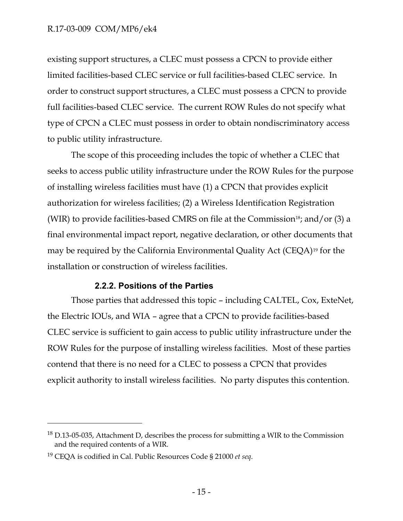#### R.17-03-009 COM/MP6/ek4

existing support structures, a CLEC must possess a CPCN to provide either limited facilities-based CLEC service or full facilities-based CLEC service. In order to construct support structures, a CLEC must possess a CPCN to provide full facilities-based CLEC service. The current ROW Rules do not specify what type of CPCN a CLEC must possess in order to obtain nondiscriminatory access to public utility infrastructure.

The scope of this proceeding includes the topic of whether a CLEC that seeks to access public utility infrastructure under the ROW Rules for the purpose of installing wireless facilities must have (1) a CPCN that provides explicit authorization for wireless facilities; (2) a Wireless Identification Registration (WIR) to provide facilities-based CMRS on file at the Commission<sup>18</sup>; and/or  $(3)$  a final environmental impact report, negative declaration, or other documents that may be required by the California Environmental Quality Act (CEQA)<sup>19</sup> for the installation or construction of wireless facilities.

#### **2.2.2. Positions of the Parties**

Those parties that addressed this topic – including CALTEL, Cox, ExteNet, the Electric IOUs, and WIA – agree that a CPCN to provide facilities-based CLEC service is sufficient to gain access to public utility infrastructure under the ROW Rules for the purpose of installing wireless facilities. Most of these parties contend that there is no need for a CLEC to possess a CPCN that provides explicit authority to install wireless facilities. No party disputes this contention.

<sup>&</sup>lt;sup>18</sup> D.13-05-035, Attachment D, describes the process for submitting a WIR to the Commission and the required contents of a WIR.

<sup>19</sup> CEQA is codified in Cal. Public Resources Code § 21000 *et seq*.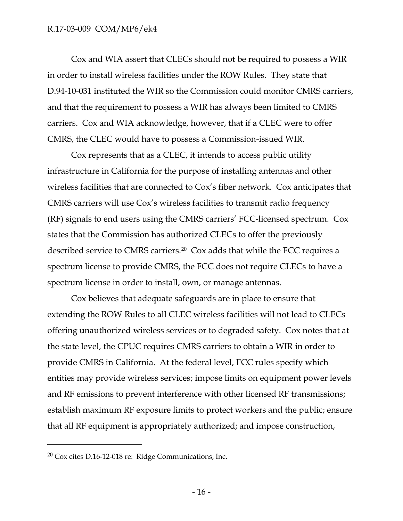Cox and WIA assert that CLECs should not be required to possess a WIR in order to install wireless facilities under the ROW Rules. They state that D.94-10-031 instituted the WIR so the Commission could monitor CMRS carriers, and that the requirement to possess a WIR has always been limited to CMRS carriers. Cox and WIA acknowledge, however, that if a CLEC were to offer CMRS, the CLEC would have to possess a Commission-issued WIR.

Cox represents that as a CLEC, it intends to access public utility infrastructure in California for the purpose of installing antennas and other wireless facilities that are connected to Cox's fiber network. Cox anticipates that CMRS carriers will use Cox's wireless facilities to transmit radio frequency (RF) signals to end users using the CMRS carriers' FCC-licensed spectrum. Cox states that the Commission has authorized CLECs to offer the previously described service to CMRS carriers.<sup>20</sup> Cox adds that while the FCC requires a spectrum license to provide CMRS, the FCC does not require CLECs to have a spectrum license in order to install, own, or manage antennas.

Cox believes that adequate safeguards are in place to ensure that extending the ROW Rules to all CLEC wireless facilities will not lead to CLECs offering unauthorized wireless services or to degraded safety. Cox notes that at the state level, the CPUC requires CMRS carriers to obtain a WIR in order to provide CMRS in California. At the federal level, FCC rules specify which entities may provide wireless services; impose limits on equipment power levels and RF emissions to prevent interference with other licensed RF transmissions; establish maximum RF exposure limits to protect workers and the public; ensure that all RF equipment is appropriately authorized; and impose construction,

 $20 \text{ Cox}$  cites D.16-12-018 re: Ridge Communications, Inc.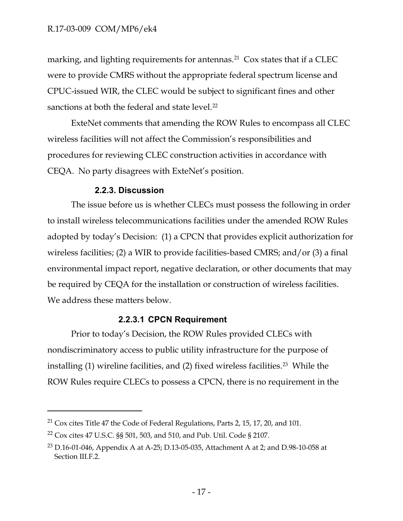marking, and lighting requirements for antennas.<sup>21</sup>  $\cos$  states that if a CLEC were to provide CMRS without the appropriate federal spectrum license and CPUC-issued WIR, the CLEC would be subject to significant fines and other sanctions at both the federal and state level.<sup>22</sup>

ExteNet comments that amending the ROW Rules to encompass all CLEC wireless facilities will not affect the Commission's responsibilities and procedures for reviewing CLEC construction activities in accordance with CEQA. No party disagrees with ExteNet's position.

#### **2.2.3. Discussion**

The issue before us is whether CLECs must possess the following in order to install wireless telecommunications facilities under the amended ROW Rules adopted by today's Decision: (1) a CPCN that provides explicit authorization for wireless facilities; (2) a WIR to provide facilities-based CMRS; and/or (3) a final environmental impact report, negative declaration, or other documents that may be required by CEQA for the installation or construction of wireless facilities. We address these matters below.

## **2.2.3.1 CPCN Requirement**

Prior to today's Decision, the ROW Rules provided CLECs with nondiscriminatory access to public utility infrastructure for the purpose of installing  $(1)$  wireline facilities, and  $(2)$  fixed wireless facilities.<sup>23</sup> While the ROW Rules require CLECs to possess a CPCN, there is no requirement in the

<sup>&</sup>lt;sup>21</sup> Cox cites Title 47 the Code of Federal Regulations, Parts 2, 15, 17, 20, and 101.

<sup>22</sup> Cox cites 47 U.S.C. §§ 501, 503, and 510, and Pub. Util. Code § 2107.

<sup>&</sup>lt;sup>23</sup> D.16-01-046, Appendix A at A-25; D.13-05-035, Attachment A at 2; and D.98-10-058 at Section III.F.2.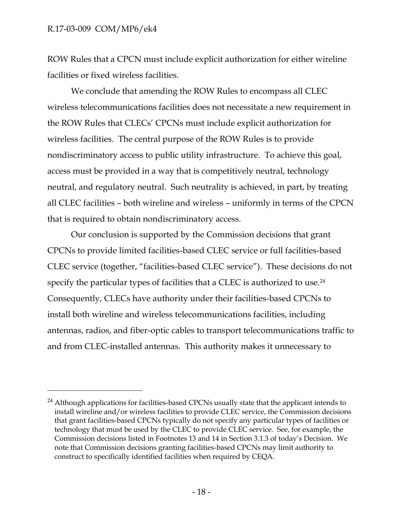#### R.17-03-009 COM/MP6/ek4

 $\overline{a}$ 

ROW Rules that a CPCN must include explicit authorization for either wireline facilities or fixed wireless facilities.

We conclude that amending the ROW Rules to encompass all CLEC wireless telecommunications facilities does not necessitate a new requirement in the ROW Rules that CLECs' CPCNs must include explicit authorization for wireless facilities. The central purpose of the ROW Rules is to provide nondiscriminatory access to public utility infrastructure. To achieve this goal, access must be provided in a way that is competitively neutral, technology neutral, and regulatory neutral. Such neutrality is achieved, in part, by treating all CLEC facilities – both wireline and wireless – uniformly in terms of the CPCN that is required to obtain nondiscriminatory access.

Our conclusion is supported by the Commission decisions that grant CPCNs to provide limited facilities-based CLEC service or full facilities-based CLEC service (together, "facilities-based CLEC service"). These decisions do not specify the particular types of facilities that a CLEC is authorized to use. 24 Consequently, CLECs have authority under their facilities-based CPCNs to install both wireline and wireless telecommunications facilities, including antennas, radios, and fiber-optic cables to transport telecommunications traffic to and from CLEC-installed antennas. This authority makes it unnecessary to

<sup>&</sup>lt;sup>24</sup> Although applications for facilities-based CPCNs usually state that the applicant intends to install wireline and/or wireless facilities to provide CLEC service, the Commission decisions that grant facilities-based CPCNs typically do not specify any particular types of facilities or technology that must be used by the CLEC to provide CLEC service. See, for example, the Commission decisions listed in Footnotes [13](#page-14-0) and 14 in Section 3.1.3 of today's Decision. We note that Commission decisions granting facilities-based CPCNs may limit authority to construct to specifically identified facilities when required by CEQA.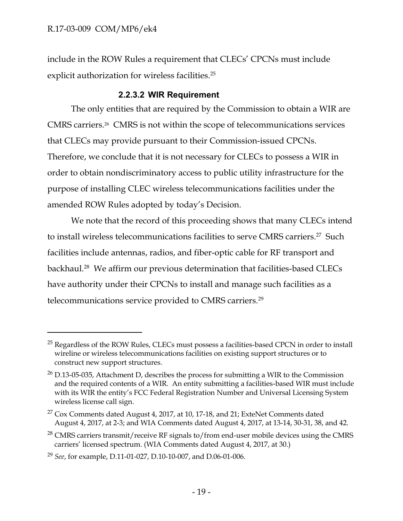$\overline{a}$ 

include in the ROW Rules a requirement that CLECs' CPCNs must include explicit authorization for wireless facilities.<sup>25</sup>

#### **2.2.3.2 WIR Requirement**

The only entities that are required by the Commission to obtain a WIR are CMRS carriers.<sup>26</sup> CMRS is not within the scope of telecommunications services that CLECs may provide pursuant to their Commission-issued CPCNs. Therefore, we conclude that it is not necessary for CLECs to possess a WIR in order to obtain nondiscriminatory access to public utility infrastructure for the purpose of installing CLEC wireless telecommunications facilities under the amended ROW Rules adopted by today's Decision.

We note that the record of this proceeding shows that many CLECs intend to install wireless telecommunications facilities to serve CMRS carriers.<sup>27</sup> Such facilities include antennas, radios, and fiber-optic cable for RF transport and backhaul. 28 We affirm our previous determination that facilities-based CLECs have authority under their CPCNs to install and manage such facilities as a telecommunications service provided to CMRS carriers. 29

<sup>&</sup>lt;sup>25</sup> Regardless of the ROW Rules, CLECs must possess a facilities-based CPCN in order to install wireline or wireless telecommunications facilities on existing support structures or to construct new support structures.

<sup>26</sup> D.13-05-035, Attachment D, describes the process for submitting a WIR to the Commission and the required contents of a WIR. An entity submitting a facilities-based WIR must include with its WIR the entity's FCC Federal Registration Number and Universal Licensing System wireless license call sign.

 $27$  Cox Comments dated August 4, 2017, at 10, 17-18, and 21; ExteNet Comments dated August 4, 2017, at 2-3; and WIA Comments dated August 4, 2017, at 13-14, 30-31, 38, and 42.

<sup>&</sup>lt;sup>28</sup> CMRS carriers transmit/receive RF signals to/from end-user mobile devices using the CMRS carriers' licensed spectrum. (WIA Comments dated August 4, 2017, at 30.)

<sup>29</sup> *See*, for example, D.11-01-027, D.10-10-007, and D.06-01-006.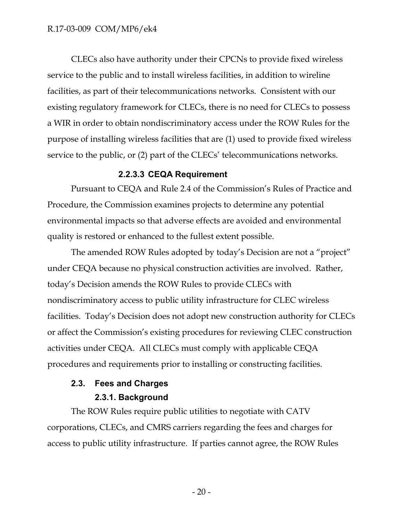CLECs also have authority under their CPCNs to provide fixed wireless service to the public and to install wireless facilities, in addition to wireline facilities, as part of their telecommunications networks. Consistent with our existing regulatory framework for CLECs, there is no need for CLECs to possess a WIR in order to obtain nondiscriminatory access under the ROW Rules for the purpose of installing wireless facilities that are (1) used to provide fixed wireless service to the public, or (2) part of the CLECs' telecommunications networks.

#### **2.2.3.3 CEQA Requirement**

Pursuant to CEQA and Rule 2.4 of the Commission's Rules of Practice and Procedure, the Commission examines projects to determine any potential environmental impacts so that adverse effects are avoided and environmental quality is restored or enhanced to the fullest extent possible.

The amended ROW Rules adopted by today's Decision are not a "project" under CEQA because no physical construction activities are involved. Rather, today's Decision amends the ROW Rules to provide CLECs with nondiscriminatory access to public utility infrastructure for CLEC wireless facilities. Today's Decision does not adopt new construction authority for CLECs or affect the Commission's existing procedures for reviewing CLEC construction activities under CEQA. All CLECs must comply with applicable CEQA procedures and requirements prior to installing or constructing facilities.

## **2.3. Fees and Charges**

#### **2.3.1. Background**

The ROW Rules require public utilities to negotiate with CATV corporations, CLECs, and CMRS carriers regarding the fees and charges for access to public utility infrastructure. If parties cannot agree, the ROW Rules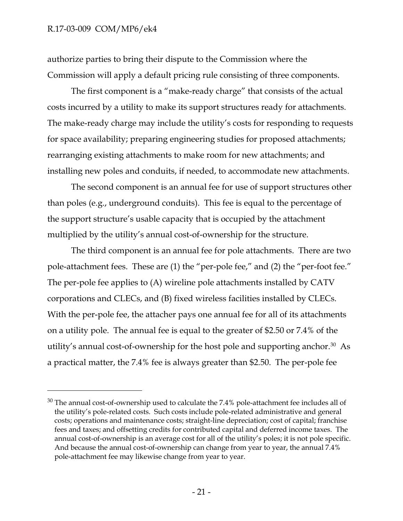$\overline{a}$ 

authorize parties to bring their dispute to the Commission where the Commission will apply a default pricing rule consisting of three components.

The first component is a "make-ready charge" that consists of the actual costs incurred by a utility to make its support structures ready for attachments. The make-ready charge may include the utility's costs for responding to requests for space availability; preparing engineering studies for proposed attachments; rearranging existing attachments to make room for new attachments; and installing new poles and conduits, if needed, to accommodate new attachments.

The second component is an annual fee for use of support structures other than poles (e.g., underground conduits). This fee is equal to the percentage of the support structure's usable capacity that is occupied by the attachment multiplied by the utility's annual cost-of-ownership for the structure.

The third component is an annual fee for pole attachments. There are two pole-attachment fees. These are (1) the "per-pole fee," and (2) the "per-foot fee." The per-pole fee applies to (A) wireline pole attachments installed by CATV corporations and CLECs, and (B) fixed wireless facilities installed by CLECs. With the per-pole fee, the attacher pays one annual fee for all of its attachments on a utility pole. The annual fee is equal to the greater of \$2.50 or 7.4% of the utility's annual cost-of-ownership for the host pole and supporting anchor.<sup>30</sup> As a practical matter, the 7.4% fee is always greater than \$2.50. The per-pole fee

 $30$  The annual cost-of-ownership used to calculate the 7.4% pole-attachment fee includes all of the utility's pole-related costs. Such costs include pole-related administrative and general costs; operations and maintenance costs; straight-line depreciation; cost of capital; franchise fees and taxes; and offsetting credits for contributed capital and deferred income taxes. The annual cost-of-ownership is an average cost for all of the utility's poles; it is not pole specific. And because the annual cost-of-ownership can change from year to year, the annual 7.4% pole-attachment fee may likewise change from year to year.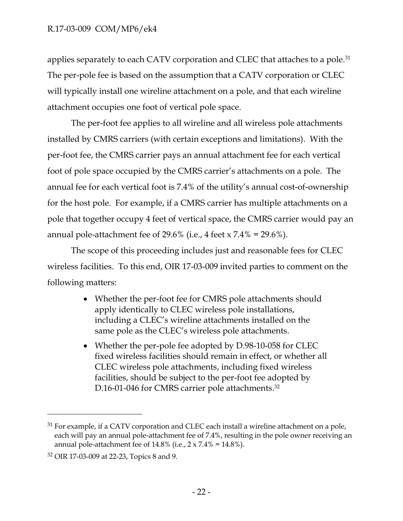applies separately to each CATV corporation and CLEC that attaches to a pole.<sup>31</sup> The per-pole fee is based on the assumption that a CATV corporation or CLEC will typically install one wireline attachment on a pole, and that each wireline attachment occupies one foot of vertical pole space.

The per-foot fee applies to all wireline and all wireless pole attachments installed by CMRS carriers (with certain exceptions and limitations). With the per-foot fee, the CMRS carrier pays an annual attachment fee for each vertical foot of pole space occupied by the CMRS carrier's attachments on a pole. The annual fee for each vertical foot is 7.4% of the utility's annual cost-of-ownership for the host pole. For example, if a CMRS carrier has multiple attachments on a pole that together occupy 4 feet of vertical space, the CMRS carrier would pay an annual pole-attachment fee of  $29.6\%$  (i.e., 4 feet x  $7.4\%$  = 29.6%).

The scope of this proceeding includes just and reasonable fees for CLEC wireless facilities. To this end, OIR 17-03-009 invited parties to comment on the following matters:

- Whether the per-foot fee for CMRS pole attachments should apply identically to CLEC wireless pole installations, including a CLEC's wireline attachments installed on the same pole as the CLEC's wireless pole attachments.
- Whether the per-pole fee adopted by D.98-10-058 for CLEC fixed wireless facilities should remain in effect, or whether all CLEC wireless pole attachments, including fixed wireless facilities, should be subject to the per-foot fee adopted by D.16-01-046 for CMRS carrier pole attachments. 32

 $31$  For example, if a CATV corporation and CLEC each install a wireline attachment on a pole, each will pay an annual pole-attachment fee of 7.4%, resulting in the pole owner receiving an annual pole-attachment fee of  $14.8\%$  (i.e.,  $2 \times 7.4\% = 14.8\%$ ).

<sup>32</sup> OIR 17-03-009 at 22-23, Topics 8 and 9.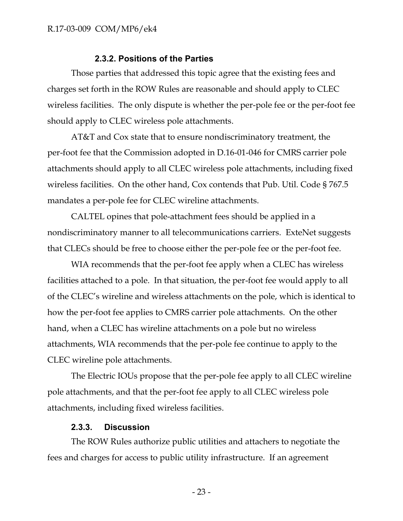#### **2.3.2. Positions of the Parties**

Those parties that addressed this topic agree that the existing fees and charges set forth in the ROW Rules are reasonable and should apply to CLEC wireless facilities. The only dispute is whether the per-pole fee or the per-foot fee should apply to CLEC wireless pole attachments.

AT&T and Cox state that to ensure nondiscriminatory treatment, the per-foot fee that the Commission adopted in D.16-01-046 for CMRS carrier pole attachments should apply to all CLEC wireless pole attachments, including fixed wireless facilities. On the other hand, Cox contends that Pub. Util. Code § 767.5 mandates a per-pole fee for CLEC wireline attachments.

CALTEL opines that pole-attachment fees should be applied in a nondiscriminatory manner to all telecommunications carriers. ExteNet suggests that CLECs should be free to choose either the per-pole fee or the per-foot fee.

WIA recommends that the per-foot fee apply when a CLEC has wireless facilities attached to a pole. In that situation, the per-foot fee would apply to all of the CLEC's wireline and wireless attachments on the pole, which is identical to how the per-foot fee applies to CMRS carrier pole attachments. On the other hand, when a CLEC has wireline attachments on a pole but no wireless attachments, WIA recommends that the per-pole fee continue to apply to the CLEC wireline pole attachments.

The Electric IOUs propose that the per-pole fee apply to all CLEC wireline pole attachments, and that the per-foot fee apply to all CLEC wireless pole attachments, including fixed wireless facilities.

#### **2.3.3. Discussion**

The ROW Rules authorize public utilities and attachers to negotiate the fees and charges for access to public utility infrastructure. If an agreement

- 23 -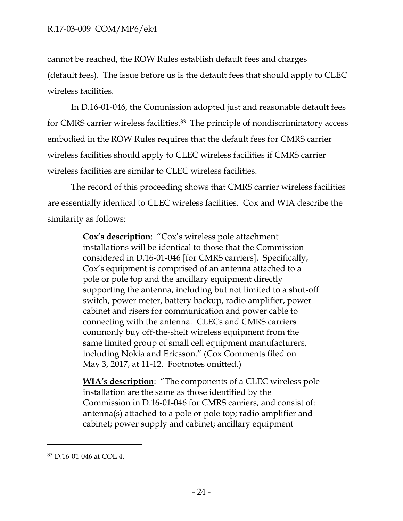cannot be reached, the ROW Rules establish default fees and charges (default fees). The issue before us is the default fees that should apply to CLEC wireless facilities.

In D.16-01-046, the Commission adopted just and reasonable default fees for CMRS carrier wireless facilities.<sup>33</sup> The principle of nondiscriminatory access embodied in the ROW Rules requires that the default fees for CMRS carrier wireless facilities should apply to CLEC wireless facilities if CMRS carrier wireless facilities are similar to CLEC wireless facilities.

The record of this proceeding shows that CMRS carrier wireless facilities are essentially identical to CLEC wireless facilities. Cox and WIA describe the similarity as follows:

> **Cox's description**: "Cox's wireless pole attachment installations will be identical to those that the Commission considered in D.16-01-046 [for CMRS carriers]. Specifically, Cox's equipment is comprised of an antenna attached to a pole or pole top and the ancillary equipment directly supporting the antenna, including but not limited to a shut-off switch, power meter, battery backup, radio amplifier, power cabinet and risers for communication and power cable to connecting with the antenna. CLECs and CMRS carriers commonly buy off-the-shelf wireless equipment from the same limited group of small cell equipment manufacturers, including Nokia and Ericsson." (Cox Comments filed on May 3, 2017, at 11-12. Footnotes omitted.)

> **WIA's description**: "The components of a CLEC wireless pole installation are the same as those identified by the Commission in D.16-01-046 for CMRS carriers, and consist of: antenna(s) attached to a pole or pole top; radio amplifier and cabinet; power supply and cabinet; ancillary equipment

<sup>33</sup> D.16-01-046 at COL 4.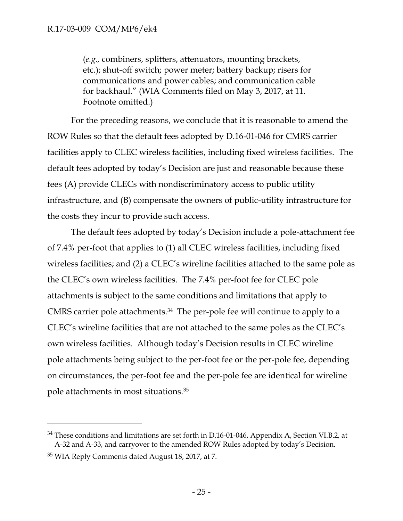(*e.g.,* combiners, splitters, attenuators, mounting brackets, etc.); shut-off switch; power meter; battery backup; risers for communications and power cables; and communication cable for backhaul." (WIA Comments filed on May 3, 2017, at 11. Footnote omitted.)

For the preceding reasons, we conclude that it is reasonable to amend the ROW Rules so that the default fees adopted by D.16-01-046 for CMRS carrier facilities apply to CLEC wireless facilities, including fixed wireless facilities. The default fees adopted by today's Decision are just and reasonable because these fees (A) provide CLECs with nondiscriminatory access to public utility infrastructure, and (B) compensate the owners of public-utility infrastructure for the costs they incur to provide such access.

The default fees adopted by today's Decision include a pole-attachment fee of 7.4% per-foot that applies to (1) all CLEC wireless facilities, including fixed wireless facilities; and (2) a CLEC's wireline facilities attached to the same pole as the CLEC's own wireless facilities. The 7.4% per-foot fee for CLEC pole attachments is subject to the same conditions and limitations that apply to CMRS carrier pole attachments.<sup>34</sup> The per-pole fee will continue to apply to a CLEC's wireline facilities that are not attached to the same poles as the CLEC's own wireless facilities. Although today's Decision results in CLEC wireline pole attachments being subject to the per-foot fee or the per-pole fee, depending on circumstances, the per-foot fee and the per-pole fee are identical for wireline pole attachments in most situations.<sup>35</sup>

<sup>&</sup>lt;sup>34</sup> These conditions and limitations are set forth in D.16-01-046, Appendix A, Section VI.B.2, at A-32 and A-33, and carryover to the amended ROW Rules adopted by today's Decision.

<sup>&</sup>lt;sup>35</sup> WIA Reply Comments dated August 18, 2017, at 7.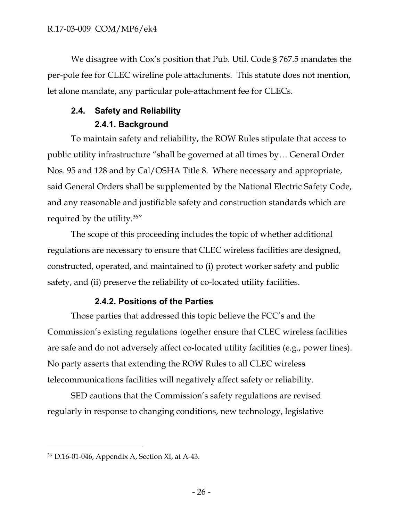We disagree with Cox's position that Pub. Util. Code § 767.5 mandates the per-pole fee for CLEC wireline pole attachments. This statute does not mention, let alone mandate, any particular pole-attachment fee for CLECs.

## **2.4. Safety and Reliability 2.4.1. Background**

To maintain safety and reliability, the ROW Rules stipulate that access to public utility infrastructure "shall be governed at all times by… General Order Nos. 95 and 128 and by Cal/OSHA Title 8. Where necessary and appropriate, said General Orders shall be supplemented by the National Electric Safety Code, and any reasonable and justifiable safety and construction standards which are required by the utility.<sup>36</sup>"

The scope of this proceeding includes the topic of whether additional regulations are necessary to ensure that CLEC wireless facilities are designed, constructed, operated, and maintained to (i) protect worker safety and public safety, and (ii) preserve the reliability of co-located utility facilities.

## **2.4.2. Positions of the Parties**

Those parties that addressed this topic believe the FCC's and the Commission's existing regulations together ensure that CLEC wireless facilities are safe and do not adversely affect co-located utility facilities (e.g., power lines). No party asserts that extending the ROW Rules to all CLEC wireless telecommunications facilities will negatively affect safety or reliability.

SED cautions that the Commission's safety regulations are revised regularly in response to changing conditions, new technology, legislative

<sup>36</sup> D.16-01-046, Appendix A, Section XI, at A-43.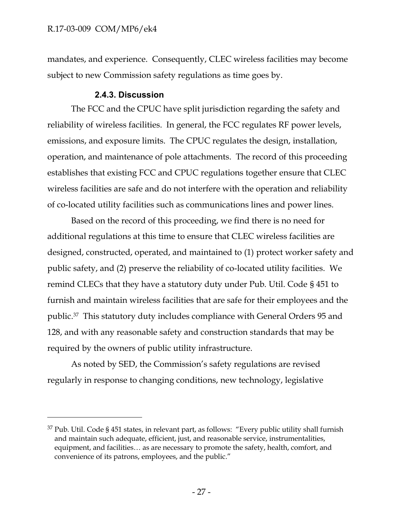$\overline{a}$ 

mandates, and experience. Consequently, CLEC wireless facilities may become subject to new Commission safety regulations as time goes by.

#### **2.4.3. Discussion**

The FCC and the CPUC have split jurisdiction regarding the safety and reliability of wireless facilities. In general, the FCC regulates RF power levels, emissions, and exposure limits. The CPUC regulates the design, installation, operation, and maintenance of pole attachments. The record of this proceeding establishes that existing FCC and CPUC regulations together ensure that CLEC wireless facilities are safe and do not interfere with the operation and reliability of co-located utility facilities such as communications lines and power lines.

Based on the record of this proceeding, we find there is no need for additional regulations at this time to ensure that CLEC wireless facilities are designed, constructed, operated, and maintained to (1) protect worker safety and public safety, and (2) preserve the reliability of co-located utility facilities. We remind CLECs that they have a statutory duty under Pub. Util. Code § 451 to furnish and maintain wireless facilities that are safe for their employees and the public.<sup>37</sup> This statutory duty includes compliance with General Orders 95 and 128, and with any reasonable safety and construction standards that may be required by the owners of public utility infrastructure.

As noted by SED, the Commission's safety regulations are revised regularly in response to changing conditions, new technology, legislative

 $37$  Pub. Util. Code § 451 states, in relevant part, as follows: "Every public utility shall furnish and maintain such adequate, efficient, just, and reasonable service, instrumentalities, equipment, and facilities… as are necessary to promote the safety, health, comfort, and convenience of its patrons, employees, and the public."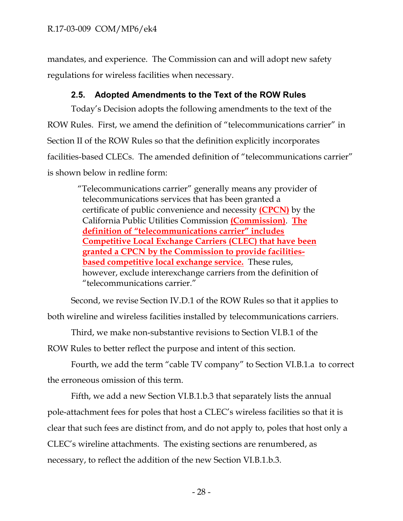mandates, and experience. The Commission can and will adopt new safety regulations for wireless facilities when necessary.

## **2.5. Adopted Amendments to the Text of the ROW Rules**

Today's Decision adopts the following amendments to the text of the ROW Rules. First, we amend the definition of "telecommunications carrier" in Section II of the ROW Rules so that the definition explicitly incorporates facilities-based CLECs. The amended definition of "telecommunications carrier" is shown below in redline form:

> "Telecommunications carrier" generally means any provider of telecommunications services that has been granted a certificate of public convenience and necessity **(CPCN)** by the California Public Utilities Commission **(Commission)**. **The definition of "telecommunications carrier" includes Competitive Local Exchange Carriers (CLEC) that have been granted a CPCN by the Commission to provide facilitiesbased competitive local exchange service.** These rules, however, exclude interexchange carriers from the definition of "telecommunications carrier."

Second, we revise Section IV.D.1 of the ROW Rules so that it applies to both wireline and wireless facilities installed by telecommunications carriers.

Third, we make non-substantive revisions to Section VI.B.1 of the ROW Rules to better reflect the purpose and intent of this section.

Fourth, we add the term "cable TV company" to Section VI.B.1.a to correct the erroneous omission of this term.

Fifth, we add a new Section VI.B.1.b.3 that separately lists the annual pole-attachment fees for poles that host a CLEC's wireless facilities so that it is clear that such fees are distinct from, and do not apply to, poles that host only a CLEC's wireline attachments. The existing sections are renumbered, as necessary, to reflect the addition of the new Section VI.B.1.b.3.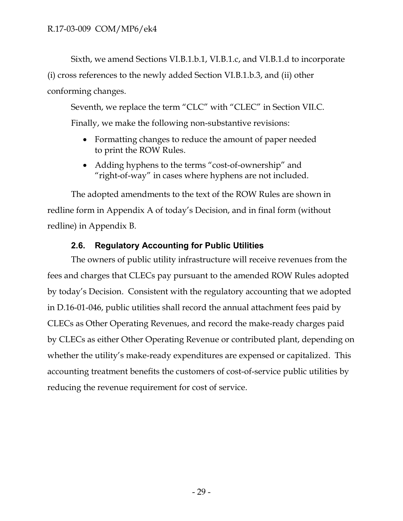Sixth, we amend Sections VI.B.1.b.1, VI.B.1.c, and VI.B.1.d to incorporate (i) cross references to the newly added Section VI.B.1.b.3, and (ii) other conforming changes.

Seventh, we replace the term "CLC" with "CLEC" in Section VII.C. Finally, we make the following non-substantive revisions:

- Formatting changes to reduce the amount of paper needed to print the ROW Rules.
- Adding hyphens to the terms "cost-of-ownership" and "right-of-way" in cases where hyphens are not included.

The adopted amendments to the text of the ROW Rules are shown in redline form in Appendix A of today's Decision, and in final form (without redline) in Appendix B.

## **2.6. Regulatory Accounting for Public Utilities**

The owners of public utility infrastructure will receive revenues from the fees and charges that CLECs pay pursuant to the amended ROW Rules adopted by today's Decision. Consistent with the regulatory accounting that we adopted in D.16-01-046, public utilities shall record the annual attachment fees paid by CLECs as Other Operating Revenues, and record the make-ready charges paid by CLECs as either Other Operating Revenue or contributed plant, depending on whether the utility's make-ready expenditures are expensed or capitalized. This accounting treatment benefits the customers of cost-of-service public utilities by reducing the revenue requirement for cost of service.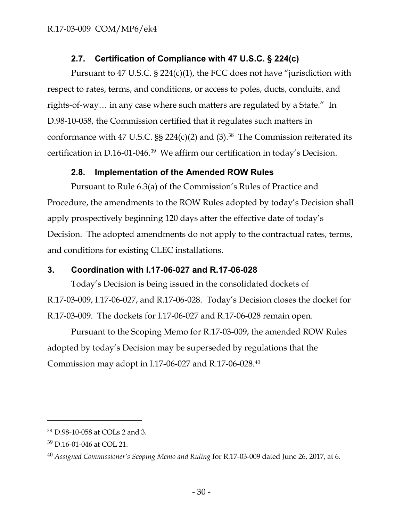## **2.7. Certification of Compliance with 47 U.S.C. § 224(c)**

Pursuant to 47 U.S.C. § 224(c)(1), the FCC does not have "jurisdiction with respect to rates, terms, and conditions, or access to poles, ducts, conduits, and rights-of-way… in any case where such matters are regulated by a State." In D.98-10-058, the Commission certified that it regulates such matters in conformance with 47 U.S.C.  $\S$  224(c)(2) and (3). $^{38}$  The Commission reiterated its certification in D.16-01-046. 39 We affirm our certification in today's Decision.

## **2.8. Implementation of the Amended ROW Rules**

Pursuant to Rule 6.3(a) of the Commission's Rules of Practice and Procedure, the amendments to the ROW Rules adopted by today's Decision shall apply prospectively beginning 120 days after the effective date of today's Decision. The adopted amendments do not apply to the contractual rates, terms, and conditions for existing CLEC installations.

## **3. Coordination with I.17-06-027 and R.17-06-028**

Today's Decision is being issued in the consolidated dockets of R.17-03-009, I.17-06-027, and R.17-06-028. Today's Decision closes the docket for R.17-03-009. The dockets for I.17-06-027 and R.17-06-028 remain open.

Pursuant to the Scoping Memo for R.17-03-009, the amended ROW Rules adopted by today's Decision may be superseded by regulations that the Commission may adopt in I.17-06-027 and R.17-06-028.<sup>40</sup>

<sup>38</sup> D.98-10-058 at COLs 2 and 3.

<sup>39</sup> D.16-01-046 at COL 21.

<sup>40</sup> *Assigned Commissioner's Scoping Memo and Ruling* for R.17-03-009 dated June 26, 2017, at 6.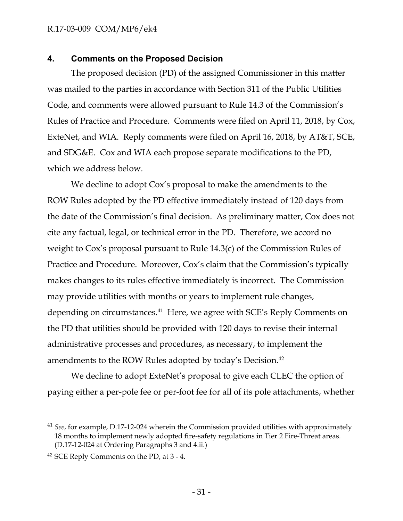#### R.17-03-009 COM/MP6/ek4

#### **4. Comments on the Proposed Decision**

The proposed decision (PD) of the assigned Commissioner in this matter was mailed to the parties in accordance with Section 311 of the Public Utilities Code, and comments were allowed pursuant to Rule 14.3 of the Commission's Rules of Practice and Procedure. Comments were filed on April 11, 2018, by Cox, ExteNet, and WIA. Reply comments were filed on April 16, 2018, by AT&T, SCE, and SDG&E. Cox and WIA each propose separate modifications to the PD, which we address below.

We decline to adopt Cox's proposal to make the amendments to the ROW Rules adopted by the PD effective immediately instead of 120 days from the date of the Commission's final decision. As preliminary matter, Cox does not cite any factual, legal, or technical error in the PD. Therefore, we accord no weight to Cox's proposal pursuant to Rule 14.3(c) of the Commission Rules of Practice and Procedure. Moreover, Cox's claim that the Commission's typically makes changes to its rules effective immediately is incorrect. The Commission may provide utilities with months or years to implement rule changes, depending on circumstances.<sup>41</sup> Here, we agree with SCE's Reply Comments on the PD that utilities should be provided with 120 days to revise their internal administrative processes and procedures, as necessary, to implement the amendments to the ROW Rules adopted by today's Decision.<sup>42</sup>

We decline to adopt ExteNet's proposal to give each CLEC the option of paying either a per-pole fee or per-foot fee for all of its pole attachments, whether

<sup>&</sup>lt;sup>41</sup> *See*, for example, D.17-12-024 wherein the Commission provided utilities with approximately 18 months to implement newly adopted fire-safety regulations in Tier 2 Fire-Threat areas. (D.17-12-024 at Ordering Paragraphs 3 and 4.ii.)

<sup>42</sup> SCE Reply Comments on the PD, at 3 - 4.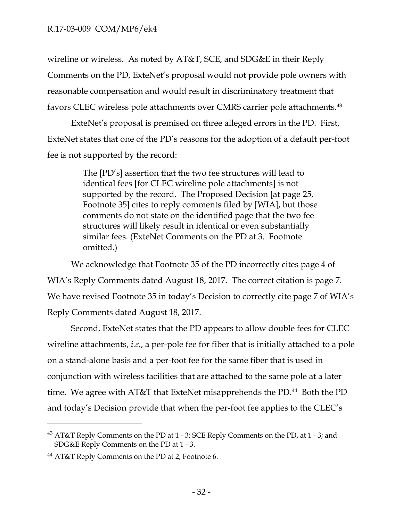wireline or wireless. As noted by AT&T, SCE, and SDG&E in their Reply Comments on the PD, ExteNet's proposal would not provide pole owners with reasonable compensation and would result in discriminatory treatment that favors CLEC wireless pole attachments over CMRS carrier pole attachments.<sup>43</sup>

ExteNet's proposal is premised on three alleged errors in the PD. First, ExteNet states that one of the PD's reasons for the adoption of a default per-foot fee is not supported by the record:

> The [PD's] assertion that the two fee structures will lead to identical fees [for CLEC wireline pole attachments] is not supported by the record. The Proposed Decision [at page 25, Footnote 35] cites to reply comments filed by [WIA], but those comments do not state on the identified page that the two fee structures will likely result in identical or even substantially similar fees. (ExteNet Comments on the PD at 3. Footnote omitted.)

We acknowledge that Footnote 35 of the PD incorrectly cites page 4 of WIA's Reply Comments dated August 18, 2017. The correct citation is page 7. We have revised Footnote 35 in today's Decision to correctly cite page 7 of WIA's Reply Comments dated August 18, 2017.

Second, ExteNet states that the PD appears to allow double fees for CLEC wireline attachments, *i.e*., a per-pole fee for fiber that is initially attached to a pole on a stand-alone basis and a per-foot fee for the same fiber that is used in conjunction with wireless facilities that are attached to the same pole at a later time. We agree with  $AT&T$  that ExteNet misapprehends the PD.<sup>44</sup> Both the PD and today's Decision provide that when the per-foot fee applies to the CLEC's

<sup>43</sup> AT&T Reply Comments on the PD at 1 - 3; SCE Reply Comments on the PD, at 1 - 3; and SDG&E Reply Comments on the PD at 1 - 3.

<sup>44</sup> AT&T Reply Comments on the PD at 2, Footnote 6.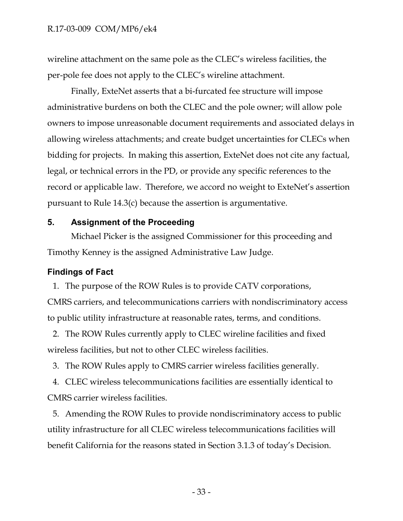wireline attachment on the same pole as the CLEC's wireless facilities, the per-pole fee does not apply to the CLEC's wireline attachment.

Finally, ExteNet asserts that a bi-furcated fee structure will impose administrative burdens on both the CLEC and the pole owner; will allow pole owners to impose unreasonable document requirements and associated delays in allowing wireless attachments; and create budget uncertainties for CLECs when bidding for projects. In making this assertion, ExteNet does not cite any factual, legal, or technical errors in the PD, or provide any specific references to the record or applicable law. Therefore, we accord no weight to ExteNet's assertion pursuant to Rule 14.3(c) because the assertion is argumentative.

#### **5. Assignment of the Proceeding**

Michael Picker is the assigned Commissioner for this proceeding and Timothy Kenney is the assigned Administrative Law Judge.

#### **Findings of Fact**

1. The purpose of the ROW Rules is to provide CATV corporations,

CMRS carriers, and telecommunications carriers with nondiscriminatory access to public utility infrastructure at reasonable rates, terms, and conditions.

2. The ROW Rules currently apply to CLEC wireline facilities and fixed wireless facilities, but not to other CLEC wireless facilities.

3. The ROW Rules apply to CMRS carrier wireless facilities generally.

4. CLEC wireless telecommunications facilities are essentially identical to CMRS carrier wireless facilities.

5. Amending the ROW Rules to provide nondiscriminatory access to public utility infrastructure for all CLEC wireless telecommunications facilities will benefit California for the reasons stated in Section 3.1.3 of today's Decision.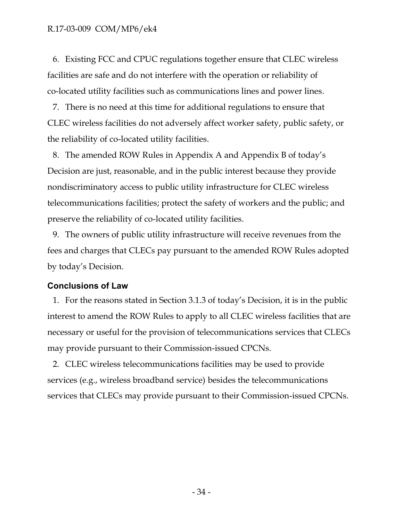6. Existing FCC and CPUC regulations together ensure that CLEC wireless facilities are safe and do not interfere with the operation or reliability of co-located utility facilities such as communications lines and power lines.

7. There is no need at this time for additional regulations to ensure that CLEC wireless facilities do not adversely affect worker safety, public safety, or the reliability of co-located utility facilities.

8. The amended ROW Rules in Appendix A and Appendix B of today's Decision are just, reasonable, and in the public interest because they provide nondiscriminatory access to public utility infrastructure for CLEC wireless telecommunications facilities; protect the safety of workers and the public; and preserve the reliability of co-located utility facilities.

9. The owners of public utility infrastructure will receive revenues from the fees and charges that CLECs pay pursuant to the amended ROW Rules adopted by today's Decision.

#### **Conclusions of Law**

1. For the reasons stated in Section 3.1.3 of today's Decision, it is in the public interest to amend the ROW Rules to apply to all CLEC wireless facilities that are necessary or useful for the provision of telecommunications services that CLECs may provide pursuant to their Commission-issued CPCNs.

2. CLEC wireless telecommunications facilities may be used to provide services (e.g., wireless broadband service) besides the telecommunications services that CLECs may provide pursuant to their Commission-issued CPCNs.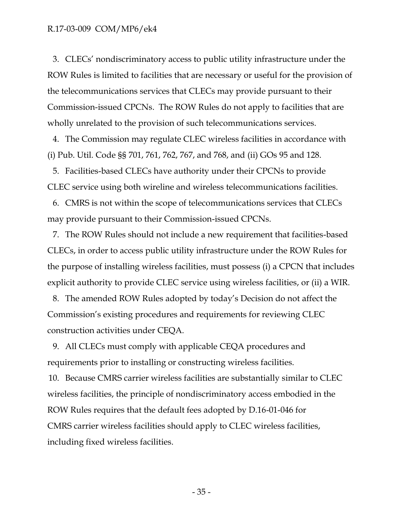3. CLECs' nondiscriminatory access to public utility infrastructure under the ROW Rules is limited to facilities that are necessary or useful for the provision of the telecommunications services that CLECs may provide pursuant to their Commission-issued CPCNs. The ROW Rules do not apply to facilities that are wholly unrelated to the provision of such telecommunications services.

4. The Commission may regulate CLEC wireless facilities in accordance with (i) Pub. Util. Code §§ 701, 761, 762, 767, and 768, and (ii) GOs 95 and 128.

5. Facilities-based CLECs have authority under their CPCNs to provide CLEC service using both wireline and wireless telecommunications facilities.

6. CMRS is not within the scope of telecommunications services that CLECs may provide pursuant to their Commission-issued CPCNs.

7. The ROW Rules should not include a new requirement that facilities-based CLECs, in order to access public utility infrastructure under the ROW Rules for the purpose of installing wireless facilities, must possess (i) a CPCN that includes explicit authority to provide CLEC service using wireless facilities, or (ii) a WIR.

8. The amended ROW Rules adopted by today's Decision do not affect the Commission's existing procedures and requirements for reviewing CLEC construction activities under CEQA.

9. All CLECs must comply with applicable CEQA procedures and requirements prior to installing or constructing wireless facilities.

10. Because CMRS carrier wireless facilities are substantially similar to CLEC wireless facilities, the principle of nondiscriminatory access embodied in the ROW Rules requires that the default fees adopted by D.16-01-046 for CMRS carrier wireless facilities should apply to CLEC wireless facilities, including fixed wireless facilities.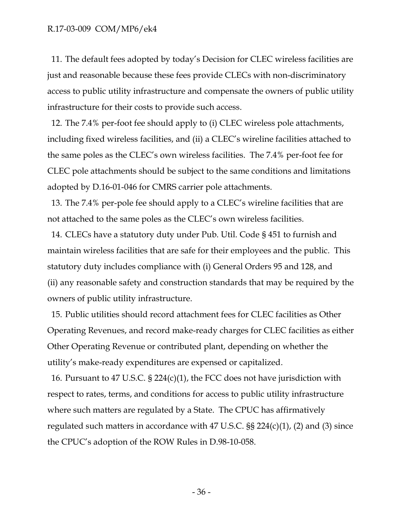11. The default fees adopted by today's Decision for CLEC wireless facilities are just and reasonable because these fees provide CLECs with non-discriminatory access to public utility infrastructure and compensate the owners of public utility infrastructure for their costs to provide such access.

12. The 7.4% per-foot fee should apply to (i) CLEC wireless pole attachments, including fixed wireless facilities, and (ii) a CLEC's wireline facilities attached to the same poles as the CLEC's own wireless facilities. The 7.4% per-foot fee for CLEC pole attachments should be subject to the same conditions and limitations adopted by D.16-01-046 for CMRS carrier pole attachments.

13. The 7.4% per-pole fee should apply to a CLEC's wireline facilities that are not attached to the same poles as the CLEC's own wireless facilities.

14. CLECs have a statutory duty under Pub. Util. Code § 451 to furnish and maintain wireless facilities that are safe for their employees and the public. This statutory duty includes compliance with (i) General Orders 95 and 128, and (ii) any reasonable safety and construction standards that may be required by the owners of public utility infrastructure.

15. Public utilities should record attachment fees for CLEC facilities as Other Operating Revenues, and record make-ready charges for CLEC facilities as either Other Operating Revenue or contributed plant, depending on whether the utility's make-ready expenditures are expensed or capitalized.

16. Pursuant to 47 U.S.C. § 224(c)(1), the FCC does not have jurisdiction with respect to rates, terms, and conditions for access to public utility infrastructure where such matters are regulated by a State. The CPUC has affirmatively regulated such matters in accordance with 47 U.S.C.  $\S$ § 224(c)(1), (2) and (3) since the CPUC's adoption of the ROW Rules in D.98-10-058.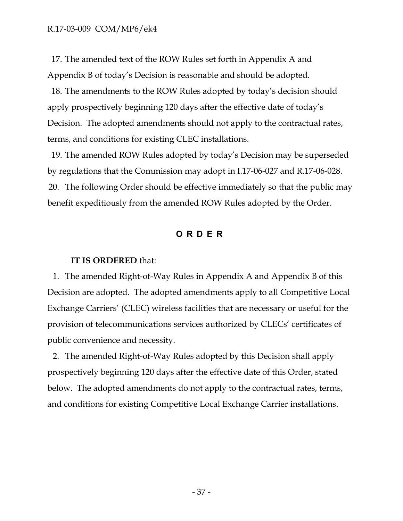17. The amended text of the ROW Rules set forth in Appendix A and Appendix B of today's Decision is reasonable and should be adopted.

18. The amendments to the ROW Rules adopted by today's decision should apply prospectively beginning 120 days after the effective date of today's Decision. The adopted amendments should not apply to the contractual rates, terms, and conditions for existing CLEC installations.

19. The amended ROW Rules adopted by today's Decision may be superseded by regulations that the Commission may adopt in I.17-06-027 and R.17-06-028. 20. The following Order should be effective immediately so that the public may benefit expeditiously from the amended ROW Rules adopted by the Order.

#### **ORDER**

#### **IT IS ORDERED** that:

1. The amended Right-of-Way Rules in Appendix A and Appendix B of this Decision are adopted. The adopted amendments apply to all Competitive Local Exchange Carriers' (CLEC) wireless facilities that are necessary or useful for the provision of telecommunications services authorized by CLECs' certificates of public convenience and necessity.

2. The amended Right-of-Way Rules adopted by this Decision shall apply prospectively beginning 120 days after the effective date of this Order, stated below. The adopted amendments do not apply to the contractual rates, terms, and conditions for existing Competitive Local Exchange Carrier installations.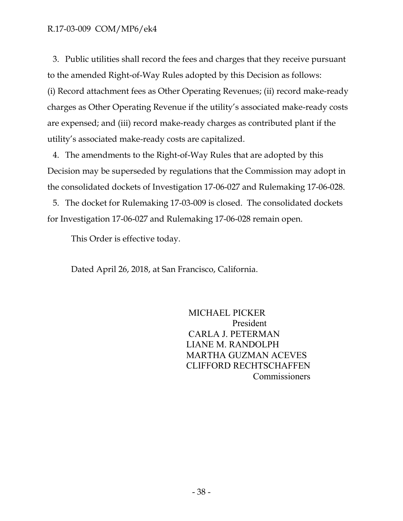3. Public utilities shall record the fees and charges that they receive pursuant to the amended Right-of-Way Rules adopted by this Decision as follows: (i) Record attachment fees as Other Operating Revenues; (ii) record make-ready charges as Other Operating Revenue if the utility's associated make-ready costs are expensed; and (iii) record make-ready charges as contributed plant if the utility's associated make-ready costs are capitalized.

4. The amendments to the Right-of-Way Rules that are adopted by this Decision may be superseded by regulations that the Commission may adopt in the consolidated dockets of Investigation 17-06-027 and Rulemaking 17-06-028.

5. The docket for Rulemaking 17-03-009 is closed. The consolidated dockets for Investigation 17-06-027 and Rulemaking 17-06-028 remain open.

This Order is effective today.

Dated April 26, 2018, at San Francisco, California.

 MICHAEL PICKER President CARLA J. PETERMAN LIANE M. RANDOLPH MARTHA GUZMAN ACEVES CLIFFORD RECHTSCHAFFEN Commissioners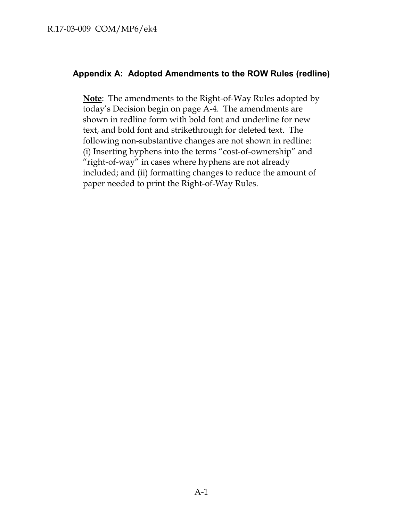#### **Appendix A: Adopted Amendments to the ROW Rules (redline)**

**Note**: The amendments to the Right-of-Way Rules adopted by today's Decision begin on page A-4. The amendments are shown in redline form with bold font and underline for new text, and bold font and strikethrough for deleted text. The following non-substantive changes are not shown in redline: (i) Inserting hyphens into the terms "cost-of-ownership" and "right-of-way" in cases where hyphens are not already included; and (ii) formatting changes to reduce the amount of paper needed to print the Right-of-Way Rules.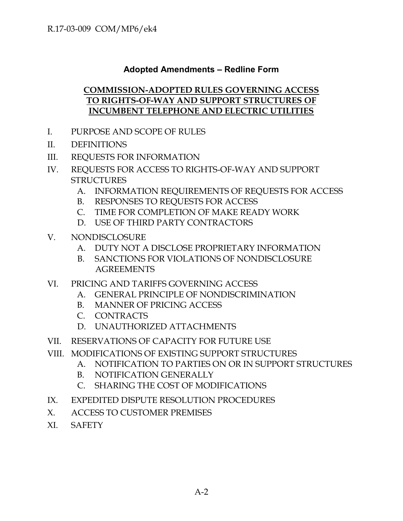# **Adopted Amendments – Redline Form**

## **COMMISSION-ADOPTED RULES GOVERNING ACCESS TO RIGHTS-OF-WAY AND SUPPORT STRUCTURES OF INCUMBENT TELEPHONE AND ELECTRIC UTILITIES**

- I. PURPOSE AND SCOPE OF RULES
- II. DEFINITIONS
- III. REQUESTS FOR INFORMATION
- IV. REQUESTS FOR ACCESS TO RIGHTS-OF-WAY AND SUPPORT **STRUCTURES** 
	- A. INFORMATION REQUIREMENTS OF REQUESTS FOR ACCESS
	- B. RESPONSES TO REQUESTS FOR ACCESS
	- C. TIME FOR COMPLETION OF MAKE READY WORK
	- D. USE OF THIRD PARTY CONTRACTORS
- V. NONDISCLOSURE
	- A. DUTY NOT A DISCLOSE PROPRIETARY INFORMATION
	- B. SANCTIONS FOR VIOLATIONS OF NONDISCLOSURE AGREEMENTS
- VI. PRICING AND TARIFFS GOVERNING ACCESS
	- A. GENERAL PRINCIPLE OF NONDISCRIMINATION
	- B. MANNER OF PRICING ACCESS
	- C. CONTRACTS
	- D. UNAUTHORIZED ATTACHMENTS
- VII. RESERVATIONS OF CAPACITY FOR FUTURE USE
- VIII. MODIFICATIONS OF EXISTING SUPPORT STRUCTURES
	- A. NOTIFICATION TO PARTIES ON OR IN SUPPORT STRUCTURES
	- B. NOTIFICATION GENERALLY
	- C. SHARING THE COST OF MODIFICATIONS
- IX. EXPEDITED DISPUTE RESOLUTION PROCEDURES
- X. ACCESS TO CUSTOMER PREMISES
- XI. SAFETY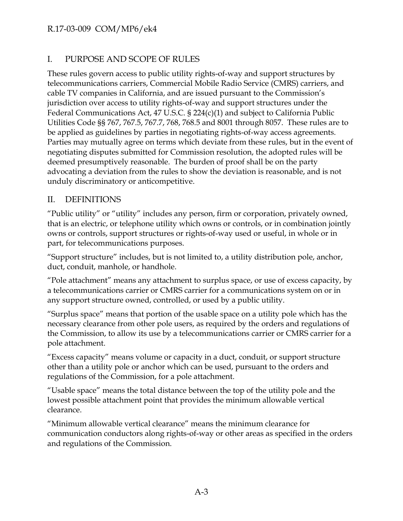# R.17-03-009 COM/MP6/ek4

# I. PURPOSE AND SCOPE OF RULES

These rules govern access to public utility rights-of-way and support structures by telecommunications carriers, Commercial Mobile Radio Service (CMRS) carriers, and cable TV companies in California, and are issued pursuant to the Commission's jurisdiction over access to utility rights-of-way and support structures under the Federal Communications Act, 47 U.S.C. § 224(c)(1) and subject to California Public Utilities Code §§ 767, 767.5, 767.7, 768, 768.5 and 8001 through 8057. These rules are to be applied as guidelines by parties in negotiating rights-of-way access agreements. Parties may mutually agree on terms which deviate from these rules, but in the event of negotiating disputes submitted for Commission resolution, the adopted rules will be deemed presumptively reasonable. The burden of proof shall be on the party advocating a deviation from the rules to show the deviation is reasonable, and is not unduly discriminatory or anticompetitive.

#### II. DEFINITIONS

"Public utility" or "utility" includes any person, firm or corporation, privately owned, that is an electric, or telephone utility which owns or controls, or in combination jointly owns or controls, support structures or rights-of-way used or useful, in whole or in part, for telecommunications purposes.

"Support structure" includes, but is not limited to, a utility distribution pole, anchor, duct, conduit, manhole, or handhole.

"Pole attachment" means any attachment to surplus space, or use of excess capacity, by a telecommunications carrier or CMRS carrier for a communications system on or in any support structure owned, controlled, or used by a public utility.

"Surplus space" means that portion of the usable space on a utility pole which has the necessary clearance from other pole users, as required by the orders and regulations of the Commission, to allow its use by a telecommunications carrier or CMRS carrier for a pole attachment.

"Excess capacity" means volume or capacity in a duct, conduit, or support structure other than a utility pole or anchor which can be used, pursuant to the orders and regulations of the Commission, for a pole attachment.

"Usable space" means the total distance between the top of the utility pole and the lowest possible attachment point that provides the minimum allowable vertical clearance.

"Minimum allowable vertical clearance" means the minimum clearance for communication conductors along rights-of-way or other areas as specified in the orders and regulations of the Commission.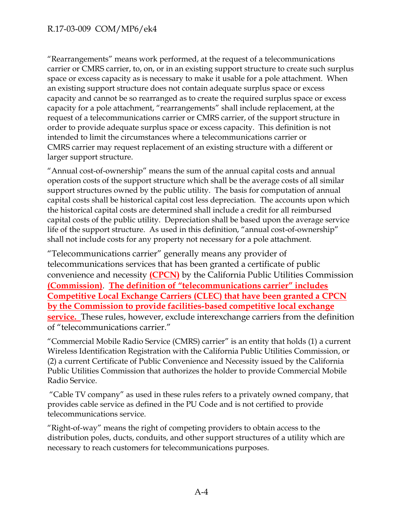"Rearrangements" means work performed, at the request of a telecommunications carrier or CMRS carrier, to, on, or in an existing support structure to create such surplus space or excess capacity as is necessary to make it usable for a pole attachment. When an existing support structure does not contain adequate surplus space or excess capacity and cannot be so rearranged as to create the required surplus space or excess capacity for a pole attachment, "rearrangements" shall include replacement, at the request of a telecommunications carrier or CMRS carrier, of the support structure in order to provide adequate surplus space or excess capacity. This definition is not intended to limit the circumstances where a telecommunications carrier or CMRS carrier may request replacement of an existing structure with a different or larger support structure.

"Annual cost-of-ownership" means the sum of the annual capital costs and annual operation costs of the support structure which shall be the average costs of all similar support structures owned by the public utility. The basis for computation of annual capital costs shall be historical capital cost less depreciation. The accounts upon which the historical capital costs are determined shall include a credit for all reimbursed capital costs of the public utility. Depreciation shall be based upon the average service life of the support structure. As used in this definition, "annual cost-of-ownership" shall not include costs for any property not necessary for a pole attachment.

"Telecommunications carrier" generally means any provider of telecommunications services that has been granted a certificate of public convenience and necessity **(CPCN)** by the California Public Utilities Commission **(Commission)**. **The definition of "telecommunications carrier" includes Competitive Local Exchange Carriers (CLEC) that have been granted a CPCN by the Commission to provide facilities-based competitive local exchange service.** These rules, however, exclude interexchange carriers from the definition of "telecommunications carrier."

"Commercial Mobile Radio Service (CMRS) carrier" is an entity that holds (1) a current Wireless Identification Registration with the California Public Utilities Commission, or (2) a current Certificate of Public Convenience and Necessity issued by the California Public Utilities Commission that authorizes the holder to provide Commercial Mobile Radio Service.

"Cable TV company" as used in these rules refers to a privately owned company, that provides cable service as defined in the PU Code and is not certified to provide telecommunications service.

"Right-of-way" means the right of competing providers to obtain access to the distribution poles, ducts, conduits, and other support structures of a utility which are necessary to reach customers for telecommunications purposes.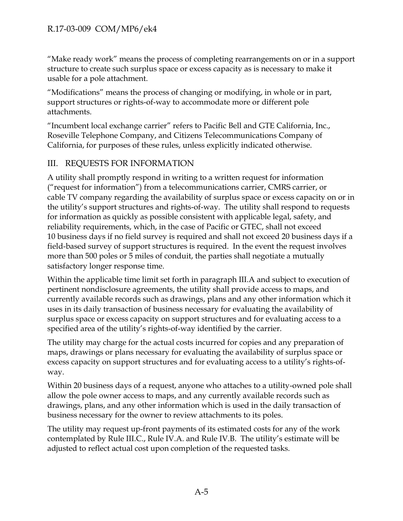"Make ready work" means the process of completing rearrangements on or in a support structure to create such surplus space or excess capacity as is necessary to make it usable for a pole attachment.

"Modifications" means the process of changing or modifying, in whole or in part, support structures or rights-of-way to accommodate more or different pole attachments.

"Incumbent local exchange carrier" refers to Pacific Bell and GTE California, Inc., Roseville Telephone Company, and Citizens Telecommunications Company of California, for purposes of these rules, unless explicitly indicated otherwise.

# III. REQUESTS FOR INFORMATION

A utility shall promptly respond in writing to a written request for information ("request for information") from a telecommunications carrier, CMRS carrier, or cable TV company regarding the availability of surplus space or excess capacity on or in the utility's support structures and rights-of-way. The utility shall respond to requests for information as quickly as possible consistent with applicable legal, safety, and reliability requirements, which, in the case of Pacific or GTEC, shall not exceed 10 business days if no field survey is required and shall not exceed 20 business days if a field-based survey of support structures is required. In the event the request involves more than 500 poles or 5 miles of conduit, the parties shall negotiate a mutually satisfactory longer response time.

Within the applicable time limit set forth in paragraph III.A and subject to execution of pertinent nondisclosure agreements, the utility shall provide access to maps, and currently available records such as drawings, plans and any other information which it uses in its daily transaction of business necessary for evaluating the availability of surplus space or excess capacity on support structures and for evaluating access to a specified area of the utility's rights-of-way identified by the carrier.

The utility may charge for the actual costs incurred for copies and any preparation of maps, drawings or plans necessary for evaluating the availability of surplus space or excess capacity on support structures and for evaluating access to a utility's rights-ofway.

Within 20 business days of a request, anyone who attaches to a utility-owned pole shall allow the pole owner access to maps, and any currently available records such as drawings, plans, and any other information which is used in the daily transaction of business necessary for the owner to review attachments to its poles.

The utility may request up-front payments of its estimated costs for any of the work contemplated by Rule III.C., Rule IV.A. and Rule IV.B. The utility's estimate will be adjusted to reflect actual cost upon completion of the requested tasks.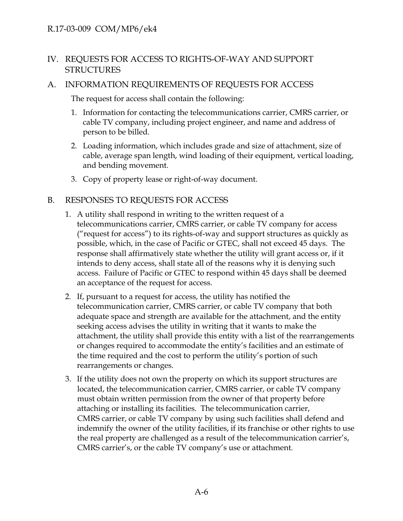# IV. REQUESTS FOR ACCESS TO RIGHTS-OF-WAY AND SUPPORT **STRUCTURES**

## A. INFORMATION REQUIREMENTS OF REQUESTS FOR ACCESS

The request for access shall contain the following:

- 1. Information for contacting the telecommunications carrier, CMRS carrier, or cable TV company, including project engineer, and name and address of person to be billed.
- 2. Loading information, which includes grade and size of attachment, size of cable, average span length, wind loading of their equipment, vertical loading, and bending movement.
- 3. Copy of property lease or right-of-way document.

#### B. RESPONSES TO REQUESTS FOR ACCESS

- 1. A utility shall respond in writing to the written request of a telecommunications carrier, CMRS carrier, or cable TV company for access ("request for access") to its rights-of-way and support structures as quickly as possible, which, in the case of Pacific or GTEC, shall not exceed 45 days. The response shall affirmatively state whether the utility will grant access or, if it intends to deny access, shall state all of the reasons why it is denying such access. Failure of Pacific or GTEC to respond within 45 days shall be deemed an acceptance of the request for access.
- 2. If, pursuant to a request for access, the utility has notified the telecommunication carrier, CMRS carrier, or cable TV company that both adequate space and strength are available for the attachment, and the entity seeking access advises the utility in writing that it wants to make the attachment, the utility shall provide this entity with a list of the rearrangements or changes required to accommodate the entity's facilities and an estimate of the time required and the cost to perform the utility's portion of such rearrangements or changes.
- 3. If the utility does not own the property on which its support structures are located, the telecommunication carrier, CMRS carrier, or cable TV company must obtain written permission from the owner of that property before attaching or installing its facilities. The telecommunication carrier, CMRS carrier, or cable TV company by using such facilities shall defend and indemnify the owner of the utility facilities, if its franchise or other rights to use the real property are challenged as a result of the telecommunication carrier's, CMRS carrier's, or the cable TV company's use or attachment.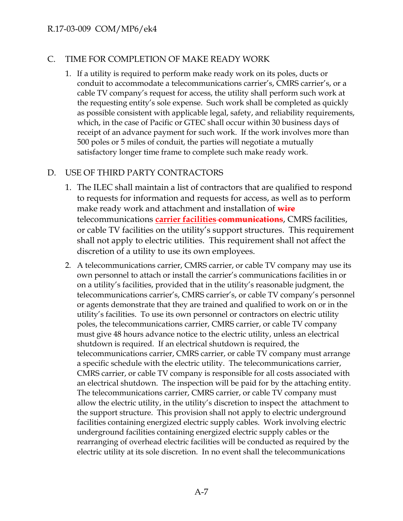## C. TIME FOR COMPLETION OF MAKE READY WORK

1. If a utility is required to perform make ready work on its poles, ducts or conduit to accommodate a telecommunications carrier's, CMRS carrier's, or a cable TV company's request for access, the utility shall perform such work at the requesting entity's sole expense. Such work shall be completed as quickly as possible consistent with applicable legal, safety, and reliability requirements, which, in the case of Pacific or GTEC shall occur within 30 business days of receipt of an advance payment for such work. If the work involves more than 500 poles or 5 miles of conduit, the parties will negotiate a mutually satisfactory longer time frame to complete such make ready work.

# D. USE OF THIRD PARTY CONTRACTORS

- 1. The ILEC shall maintain a list of contractors that are qualified to respond to requests for information and requests for access, as well as to perform make ready work and attachment and installation of **wire**  telecommunications **carrier facilities communications**, CMRS facilities, or cable TV facilities on the utility's support structures. This requirement shall not apply to electric utilities. This requirement shall not affect the discretion of a utility to use its own employees.
- 2. A telecommunications carrier, CMRS carrier, or cable TV company may use its own personnel to attach or install the carrier's communications facilities in or on a utility's facilities, provided that in the utility's reasonable judgment, the telecommunications carrier's, CMRS carrier's, or cable TV company's personnel or agents demonstrate that they are trained and qualified to work on or in the utility's facilities. To use its own personnel or contractors on electric utility poles, the telecommunications carrier, CMRS carrier, or cable TV company must give 48 hours advance notice to the electric utility, unless an electrical shutdown is required. If an electrical shutdown is required, the telecommunications carrier, CMRS carrier, or cable TV company must arrange a specific schedule with the electric utility. The telecommunications carrier, CMRS carrier, or cable TV company is responsible for all costs associated with an electrical shutdown. The inspection will be paid for by the attaching entity. The telecommunications carrier, CMRS carrier, or cable TV company must allow the electric utility, in the utility's discretion to inspect the attachment to the support structure. This provision shall not apply to electric underground facilities containing energized electric supply cables. Work involving electric underground facilities containing energized electric supply cables or the rearranging of overhead electric facilities will be conducted as required by the electric utility at its sole discretion. In no event shall the telecommunications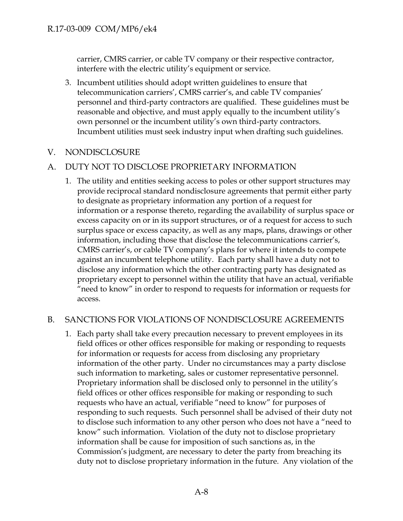carrier, CMRS carrier, or cable TV company or their respective contractor, interfere with the electric utility's equipment or service.

3. Incumbent utilities should adopt written guidelines to ensure that telecommunication carriers', CMRS carrier's, and cable TV companies' personnel and third-party contractors are qualified. These guidelines must be reasonable and objective, and must apply equally to the incumbent utility's own personnel or the incumbent utility's own third-party contractors. Incumbent utilities must seek industry input when drafting such guidelines.

#### V. NONDISCLOSURE

#### A. DUTY NOT TO DISCLOSE PROPRIETARY INFORMATION

1. The utility and entities seeking access to poles or other support structures may provide reciprocal standard nondisclosure agreements that permit either party to designate as proprietary information any portion of a request for information or a response thereto, regarding the availability of surplus space or excess capacity on or in its support structures, or of a request for access to such surplus space or excess capacity, as well as any maps, plans, drawings or other information, including those that disclose the telecommunications carrier's, CMRS carrier's, or cable TV company's plans for where it intends to compete against an incumbent telephone utility. Each party shall have a duty not to disclose any information which the other contracting party has designated as proprietary except to personnel within the utility that have an actual, verifiable "need to know" in order to respond to requests for information or requests for access.

#### B. SANCTIONS FOR VIOLATIONS OF NONDISCLOSURE AGREEMENTS

1. Each party shall take every precaution necessary to prevent employees in its field offices or other offices responsible for making or responding to requests for information or requests for access from disclosing any proprietary information of the other party. Under no circumstances may a party disclose such information to marketing, sales or customer representative personnel. Proprietary information shall be disclosed only to personnel in the utility's field offices or other offices responsible for making or responding to such requests who have an actual, verifiable "need to know" for purposes of responding to such requests. Such personnel shall be advised of their duty not to disclose such information to any other person who does not have a "need to know" such information. Violation of the duty not to disclose proprietary information shall be cause for imposition of such sanctions as, in the Commission's judgment, are necessary to deter the party from breaching its duty not to disclose proprietary information in the future. Any violation of the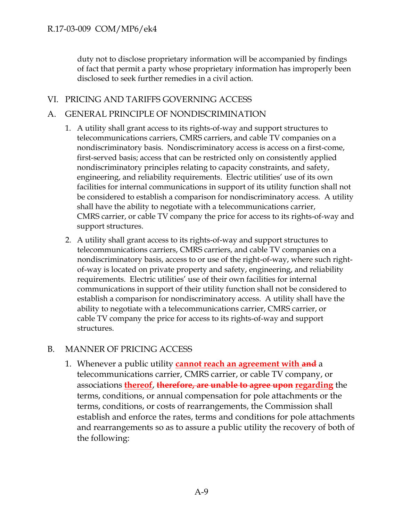duty not to disclose proprietary information will be accompanied by findings of fact that permit a party whose proprietary information has improperly been disclosed to seek further remedies in a civil action.

# VI. PRICING AND TARIFFS GOVERNING ACCESS

## A. GENERAL PRINCIPLE OF NONDISCRIMINATION

- 1. A utility shall grant access to its rights-of-way and support structures to telecommunications carriers, CMRS carriers, and cable TV companies on a nondiscriminatory basis. Nondiscriminatory access is access on a first-come, first-served basis; access that can be restricted only on consistently applied nondiscriminatory principles relating to capacity constraints, and safety, engineering, and reliability requirements. Electric utilities' use of its own facilities for internal communications in support of its utility function shall not be considered to establish a comparison for nondiscriminatory access. A utility shall have the ability to negotiate with a telecommunications carrier, CMRS carrier, or cable TV company the price for access to its rights-of-way and support structures.
- 2. A utility shall grant access to its rights-of-way and support structures to telecommunications carriers, CMRS carriers, and cable TV companies on a nondiscriminatory basis, access to or use of the right-of-way, where such rightof-way is located on private property and safety, engineering, and reliability requirements. Electric utilities' use of their own facilities for internal communications in support of their utility function shall not be considered to establish a comparison for nondiscriminatory access. A utility shall have the ability to negotiate with a telecommunications carrier, CMRS carrier, or cable TV company the price for access to its rights-of-way and support structures.

#### B. MANNER OF PRICING ACCESS

1. Whenever a public utility **cannot reach an agreement with and** a telecommunications carrier, CMRS carrier, or cable TV company, or associations **thereof**, **therefore, are unable to agree upon regarding** the terms, conditions, or annual compensation for pole attachments or the terms, conditions, or costs of rearrangements, the Commission shall establish and enforce the rates, terms and conditions for pole attachments and rearrangements so as to assure a public utility the recovery of both of the following: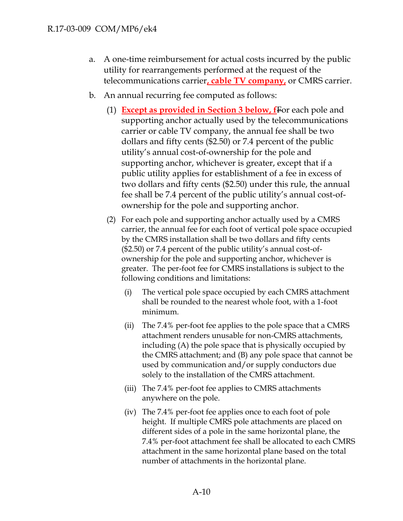- a. A one-time reimbursement for actual costs incurred by the public utility for rearrangements performed at the request of the telecommunications carrier**, cable TV company,** or CMRS carrier.
- b. An annual recurring fee computed as follows:
	- (1) **Except as provided in Section 3 below, f**For each pole and supporting anchor actually used by the telecommunications carrier or cable TV company, the annual fee shall be two dollars and fifty cents (\$2.50) or 7.4 percent of the public utility's annual cost-of-ownership for the pole and supporting anchor, whichever is greater, except that if a public utility applies for establishment of a fee in excess of two dollars and fifty cents (\$2.50) under this rule, the annual fee shall be 7.4 percent of the public utility's annual cost-ofownership for the pole and supporting anchor.
	- (2) For each pole and supporting anchor actually used by a CMRS carrier, the annual fee for each foot of vertical pole space occupied by the CMRS installation shall be two dollars and fifty cents (\$2.50) or 7.4 percent of the public utility's annual cost-ofownership for the pole and supporting anchor, whichever is greater. The per-foot fee for CMRS installations is subject to the following conditions and limitations:
		- (i) The vertical pole space occupied by each CMRS attachment shall be rounded to the nearest whole foot, with a 1-foot minimum.
		- (ii) The 7.4% per-foot fee applies to the pole space that a CMRS attachment renders unusable for non-CMRS attachments, including (A) the pole space that is physically occupied by the CMRS attachment; and (B) any pole space that cannot be used by communication and/or supply conductors due solely to the installation of the CMRS attachment.
		- (iii) The 7.4% per-foot fee applies to CMRS attachments anywhere on the pole.
		- (iv) The 7.4% per-foot fee applies once to each foot of pole height. If multiple CMRS pole attachments are placed on different sides of a pole in the same horizontal plane, the 7.4% per-foot attachment fee shall be allocated to each CMRS attachment in the same horizontal plane based on the total number of attachments in the horizontal plane.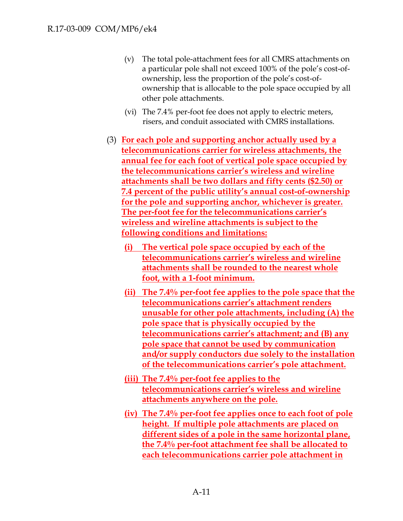- (v) The total pole-attachment fees for all CMRS attachments on a particular pole shall not exceed 100% of the pole's cost-ofownership, less the proportion of the pole's cost-ofownership that is allocable to the pole space occupied by all other pole attachments.
- (vi) The 7.4% per-foot fee does not apply to electric meters, risers, and conduit associated with CMRS installations.
- (3) **For each pole and supporting anchor actually used by a telecommunications carrier for wireless attachments, the annual fee for each foot of vertical pole space occupied by the telecommunications carrier's wireless and wireline attachments shall be two dollars and fifty cents (\$2.50) or 7.4 percent of the public utility's annual cost-of-ownership for the pole and supporting anchor, whichever is greater. The per-foot fee for the telecommunications carrier's wireless and wireline attachments is subject to the following conditions and limitations:**
	- **(i) The vertical pole space occupied by each of the telecommunications carrier's wireless and wireline attachments shall be rounded to the nearest whole foot, with a 1-foot minimum.**
	- **(ii) The 7.4% per-foot fee applies to the pole space that the telecommunications carrier's attachment renders unusable for other pole attachments, including (A) the pole space that is physically occupied by the telecommunications carrier's attachment; and (B) any pole space that cannot be used by communication and/or supply conductors due solely to the installation of the telecommunications carrier's pole attachment.**
	- **(iii) The 7.4% per-foot fee applies to the telecommunications carrier's wireless and wireline attachments anywhere on the pole.**
	- **(iv) The 7.4% per-foot fee applies once to each foot of pole height. If multiple pole attachments are placed on different sides of a pole in the same horizontal plane, the 7.4% per-foot attachment fee shall be allocated to each telecommunications carrier pole attachment in**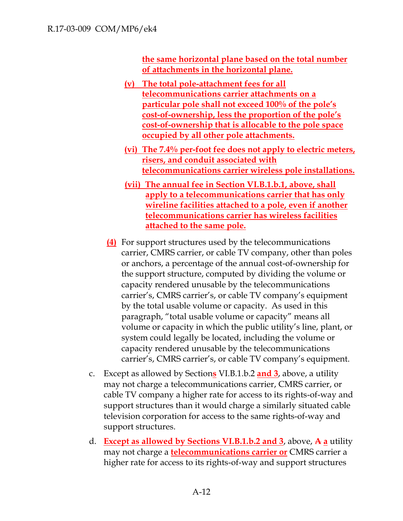**the same horizontal plane based on the total number of attachments in the horizontal plane.**

- **(v) The total pole-attachment fees for all telecommunications carrier attachments on a particular pole shall not exceed 100% of the pole's cost-of-ownership, less the proportion of the pole's cost-of-ownership that is allocable to the pole space occupied by all other pole attachments.**
- **(vi) The 7.4% per-foot fee does not apply to electric meters, risers, and conduit associated with telecommunications carrier wireless pole installations.**
- **(vii) The annual fee in Section VI.B.1.b.1, above, shall apply to a telecommunications carrier that has only wireline facilities attached to a pole, even if another telecommunications carrier has wireless facilities attached to the same pole.**
- **(4)** For support structures used by the telecommunications carrier, CMRS carrier, or cable TV company, other than poles or anchors, a percentage of the annual cost-of-ownership for the support structure, computed by dividing the volume or capacity rendered unusable by the telecommunications carrier's, CMRS carrier's, or cable TV company's equipment by the total usable volume or capacity. As used in this paragraph, "total usable volume or capacity" means all volume or capacity in which the public utility's line, plant, or system could legally be located, including the volume or capacity rendered unusable by the telecommunications carrier's, CMRS carrier's, or cable TV company's equipment.
- c. Except as allowed by Section**s** VI.B.1.b.2 **and 3**, above, a utility may not charge a telecommunications carrier, CMRS carrier, or cable TV company a higher rate for access to its rights-of-way and support structures than it would charge a similarly situated cable television corporation for access to the same rights-of-way and support structures.
- d. **Except as allowed by Sections VI.B.1.b.2 and 3**, above, **A a** utility may not charge a **telecommunications carrier or** CMRS carrier a higher rate for access to its rights-of-way and support structures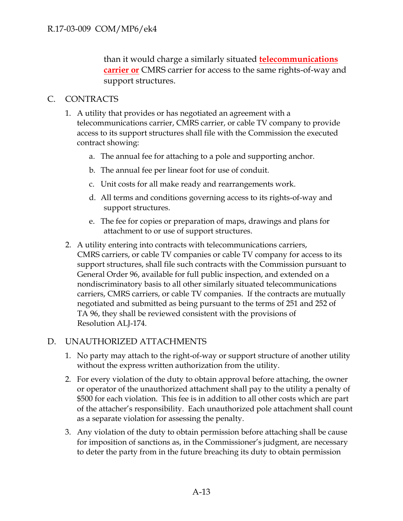than it would charge a similarly situated **telecommunications carrier or** CMRS carrier for access to the same rights-of-way and support structures.

## C. CONTRACTS

- 1. A utility that provides or has negotiated an agreement with a telecommunications carrier, CMRS carrier, or cable TV company to provide access to its support structures shall file with the Commission the executed contract showing:
	- a. The annual fee for attaching to a pole and supporting anchor.
	- b. The annual fee per linear foot for use of conduit.
	- c. Unit costs for all make ready and rearrangements work.
	- d. All terms and conditions governing access to its rights-of-way and support structures.
	- e. The fee for copies or preparation of maps, drawings and plans for attachment to or use of support structures.
- 2. A utility entering into contracts with telecommunications carriers, CMRS carriers, or cable TV companies or cable TV company for access to its support structures, shall file such contracts with the Commission pursuant to General Order 96, available for full public inspection, and extended on a nondiscriminatory basis to all other similarly situated telecommunications carriers, CMRS carriers, or cable TV companies. If the contracts are mutually negotiated and submitted as being pursuant to the terms of 251 and 252 of TA 96, they shall be reviewed consistent with the provisions of Resolution ALJ-174.

## D. UNAUTHORIZED ATTACHMENTS

- 1. No party may attach to the right-of-way or support structure of another utility without the express written authorization from the utility.
- 2. For every violation of the duty to obtain approval before attaching, the owner or operator of the unauthorized attachment shall pay to the utility a penalty of \$500 for each violation. This fee is in addition to all other costs which are part of the attacher's responsibility. Each unauthorized pole attachment shall count as a separate violation for assessing the penalty.
- 3. Any violation of the duty to obtain permission before attaching shall be cause for imposition of sanctions as, in the Commissioner's judgment, are necessary to deter the party from in the future breaching its duty to obtain permission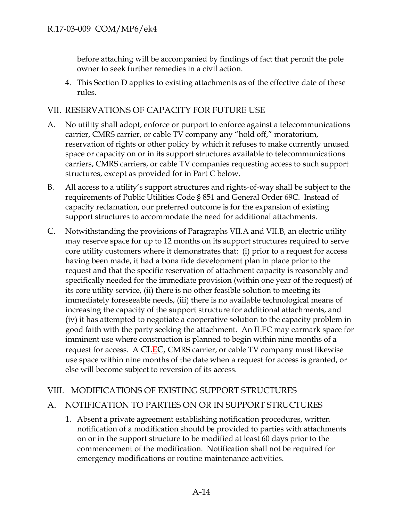before attaching will be accompanied by findings of fact that permit the pole owner to seek further remedies in a civil action.

4. This Section D applies to existing attachments as of the effective date of these rules.

## VII. RESERVATIONS OF CAPACITY FOR FUTURE USE

- A. No utility shall adopt, enforce or purport to enforce against a telecommunications carrier, CMRS carrier, or cable TV company any "hold off," moratorium, reservation of rights or other policy by which it refuses to make currently unused space or capacity on or in its support structures available to telecommunications carriers, CMRS carriers, or cable TV companies requesting access to such support structures, except as provided for in Part C below.
- B. All access to a utility's support structures and rights-of-way shall be subject to the requirements of Public Utilities Code § 851 and General Order 69C. Instead of capacity reclamation, our preferred outcome is for the expansion of existing support structures to accommodate the need for additional attachments.
- C. Notwithstanding the provisions of Paragraphs VII.A and VII.B, an electric utility may reserve space for up to 12 months on its support structures required to serve core utility customers where it demonstrates that: (i) prior to a request for access having been made, it had a bona fide development plan in place prior to the request and that the specific reservation of attachment capacity is reasonably and specifically needed for the immediate provision (within one year of the request) of its core utility service, (ii) there is no other feasible solution to meeting its immediately foreseeable needs, (iii) there is no available technological means of increasing the capacity of the support structure for additional attachments, and (iv) it has attempted to negotiate a cooperative solution to the capacity problem in good faith with the party seeking the attachment. An ILEC may earmark space for imminent use where construction is planned to begin within nine months of a request for access. A CL**E**C, CMRS carrier, or cable TV company must likewise use space within nine months of the date when a request for access is granted, or else will become subject to reversion of its access.

## VIII. MODIFICATIONS OF EXISTING SUPPORT STRUCTURES

## A. NOTIFICATION TO PARTIES ON OR IN SUPPORT STRUCTURES

1. Absent a private agreement establishing notification procedures, written notification of a modification should be provided to parties with attachments on or in the support structure to be modified at least 60 days prior to the commencement of the modification. Notification shall not be required for emergency modifications or routine maintenance activities.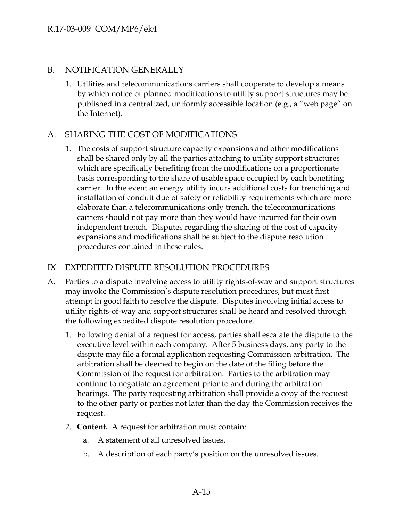#### B. NOTIFICATION GENERALLY

1. Utilities and telecommunications carriers shall cooperate to develop a means by which notice of planned modifications to utility support structures may be published in a centralized, uniformly accessible location (e.g., a "web page" on the Internet).

## A. SHARING THE COST OF MODIFICATIONS

1. The costs of support structure capacity expansions and other modifications shall be shared only by all the parties attaching to utility support structures which are specifically benefiting from the modifications on a proportionate basis corresponding to the share of usable space occupied by each benefiting carrier. In the event an energy utility incurs additional costs for trenching and installation of conduit due of safety or reliability requirements which are more elaborate than a telecommunications-only trench, the telecommunications carriers should not pay more than they would have incurred for their own independent trench. Disputes regarding the sharing of the cost of capacity expansions and modifications shall be subject to the dispute resolution procedures contained in these rules.

## IX. EXPEDITED DISPUTE RESOLUTION PROCEDURES

- A. Parties to a dispute involving access to utility rights-of-way and support structures may invoke the Commission's dispute resolution procedures, but must first attempt in good faith to resolve the dispute. Disputes involving initial access to utility rights-of-way and support structures shall be heard and resolved through the following expedited dispute resolution procedure.
	- 1. Following denial of a request for access, parties shall escalate the dispute to the executive level within each company. After 5 business days, any party to the dispute may file a formal application requesting Commission arbitration. The arbitration shall be deemed to begin on the date of the filing before the Commission of the request for arbitration. Parties to the arbitration may continue to negotiate an agreement prior to and during the arbitration hearings. The party requesting arbitration shall provide a copy of the request to the other party or parties not later than the day the Commission receives the request.
	- 2. **Content.** A request for arbitration must contain:
		- a. A statement of all unresolved issues.
		- b. A description of each party's position on the unresolved issues.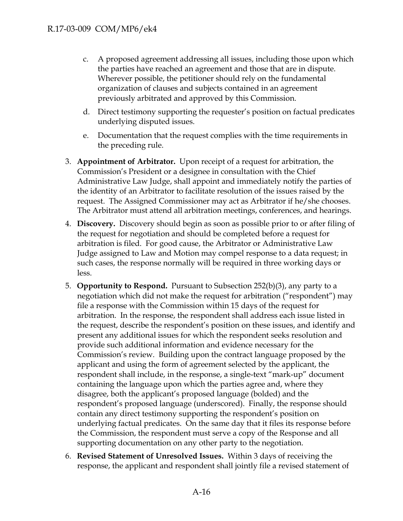- c. A proposed agreement addressing all issues, including those upon which the parties have reached an agreement and those that are in dispute. Wherever possible, the petitioner should rely on the fundamental organization of clauses and subjects contained in an agreement previously arbitrated and approved by this Commission.
- d. Direct testimony supporting the requester's position on factual predicates underlying disputed issues.
- e. Documentation that the request complies with the time requirements in the preceding rule.
- 3. **Appointment of Arbitrator.** Upon receipt of a request for arbitration, the Commission's President or a designee in consultation with the Chief Administrative Law Judge, shall appoint and immediately notify the parties of the identity of an Arbitrator to facilitate resolution of the issues raised by the request. The Assigned Commissioner may act as Arbitrator if he/she chooses. The Arbitrator must attend all arbitration meetings, conferences, and hearings.
- 4. **Discovery.** Discovery should begin as soon as possible prior to or after filing of the request for negotiation and should be completed before a request for arbitration is filed. For good cause, the Arbitrator or Administrative Law Judge assigned to Law and Motion may compel response to a data request; in such cases, the response normally will be required in three working days or less.
- 5. **Opportunity to Respond.** Pursuant to Subsection 252(b)(3), any party to a negotiation which did not make the request for arbitration ("respondent") may file a response with the Commission within 15 days of the request for arbitration. In the response, the respondent shall address each issue listed in the request, describe the respondent's position on these issues, and identify and present any additional issues for which the respondent seeks resolution and provide such additional information and evidence necessary for the Commission's review. Building upon the contract language proposed by the applicant and using the form of agreement selected by the applicant, the respondent shall include, in the response, a single-text "mark-up" document containing the language upon which the parties agree and, where they disagree, both the applicant's proposed language (bolded) and the respondent's proposed language (underscored). Finally, the response should contain any direct testimony supporting the respondent's position on underlying factual predicates. On the same day that it files its response before the Commission, the respondent must serve a copy of the Response and all supporting documentation on any other party to the negotiation.
- 6. **Revised Statement of Unresolved Issues.** Within 3 days of receiving the response, the applicant and respondent shall jointly file a revised statement of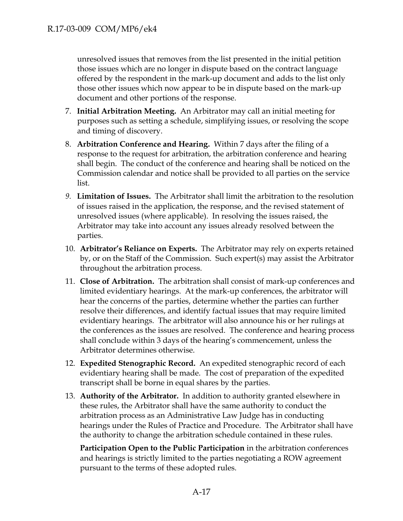unresolved issues that removes from the list presented in the initial petition those issues which are no longer in dispute based on the contract language offered by the respondent in the mark-up document and adds to the list only those other issues which now appear to be in dispute based on the mark-up document and other portions of the response.

- 7. **Initial Arbitration Meeting.** An Arbitrator may call an initial meeting for purposes such as setting a schedule, simplifying issues, or resolving the scope and timing of discovery.
- 8. **Arbitration Conference and Hearing.** Within 7 days after the filing of a response to the request for arbitration, the arbitration conference and hearing shall begin. The conduct of the conference and hearing shall be noticed on the Commission calendar and notice shall be provided to all parties on the service list.
- *9.* **Limitation of Issues.** The Arbitrator shall limit the arbitration to the resolution of issues raised in the application, the response, and the revised statement of unresolved issues (where applicable). In resolving the issues raised, the Arbitrator may take into account any issues already resolved between the parties.
- 10. **Arbitrator's Reliance on Experts.** The Arbitrator may rely on experts retained by, or on the Staff of the Commission. Such expert(s) may assist the Arbitrator throughout the arbitration process.
- 11. **Close of Arbitration.** The arbitration shall consist of mark-up conferences and limited evidentiary hearings. At the mark-up conferences, the arbitrator will hear the concerns of the parties, determine whether the parties can further resolve their differences, and identify factual issues that may require limited evidentiary hearings. The arbitrator will also announce his or her rulings at the conferences as the issues are resolved. The conference and hearing process shall conclude within 3 days of the hearing's commencement, unless the Arbitrator determines otherwise.
- 12. **Expedited Stenographic Record.** An expedited stenographic record of each evidentiary hearing shall be made. The cost of preparation of the expedited transcript shall be borne in equal shares by the parties.
- 13. **Authority of the Arbitrator.** In addition to authority granted elsewhere in these rules, the Arbitrator shall have the same authority to conduct the arbitration process as an Administrative Law Judge has in conducting hearings under the Rules of Practice and Procedure. The Arbitrator shall have the authority to change the arbitration schedule contained in these rules.

**Participation Open to the Public Participation** in the arbitration conferences and hearings is strictly limited to the parties negotiating a ROW agreement pursuant to the terms of these adopted rules.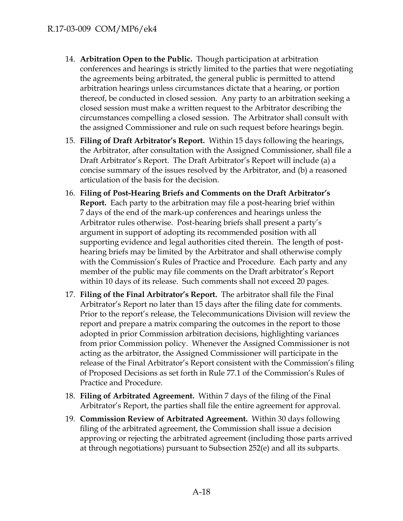- 14. **Arbitration Open to the Public.** Though participation at arbitration conferences and hearings is strictly limited to the parties that were negotiating the agreements being arbitrated, the general public is permitted to attend arbitration hearings unless circumstances dictate that a hearing, or portion thereof, be conducted in closed session. Any party to an arbitration seeking a closed session must make a written request to the Arbitrator describing the circumstances compelling a closed session. The Arbitrator shall consult with the assigned Commissioner and rule on such request before hearings begin.
- 15. **Filing of Draft Arbitrator's Report.** Within 15 days following the hearings, the Arbitrator, after consultation with the Assigned Commissioner, shall file a Draft Arbitrator's Report. The Draft Arbitrator's Report will include (a) a concise summary of the issues resolved by the Arbitrator, and (b) a reasoned articulation of the basis for the decision.
- 16. **Filing of Post-Hearing Briefs and Comments on the Draft Arbitrator's Report.** Each party to the arbitration may file a post-hearing brief within 7 days of the end of the mark-up conferences and hearings unless the Arbitrator rules otherwise. Post-hearing briefs shall present a party's argument in support of adopting its recommended position with all supporting evidence and legal authorities cited therein. The length of posthearing briefs may be limited by the Arbitrator and shall otherwise comply with the Commission's Rules of Practice and Procedure. Each party and any member of the public may file comments on the Draft arbitrator's Report within 10 days of its release. Such comments shall not exceed 20 pages.
- 17. **Filing of the Final Arbitrator's Report.** The arbitrator shall file the Final Arbitrator's Report no later than 15 days after the filing date for comments. Prior to the report's release, the Telecommunications Division will review the report and prepare a matrix comparing the outcomes in the report to those adopted in prior Commission arbitration decisions, highlighting variances from prior Commission policy. Whenever the Assigned Commissioner is not acting as the arbitrator, the Assigned Commissioner will participate in the release of the Final Arbitrator's Report consistent with the Commission's filing of Proposed Decisions as set forth in Rule 77.1 of the Commission's Rules of Practice and Procedure.
- 18. **Filing of Arbitrated Agreement.** Within 7 days of the filing of the Final Arbitrator's Report, the parties shall file the entire agreement for approval.
- 19. **Commission Review of Arbitrated Agreement.** Within 30 days following filing of the arbitrated agreement, the Commission shall issue a decision approving or rejecting the arbitrated agreement (including those parts arrived at through negotiations) pursuant to Subsection 252(e) and all its subparts.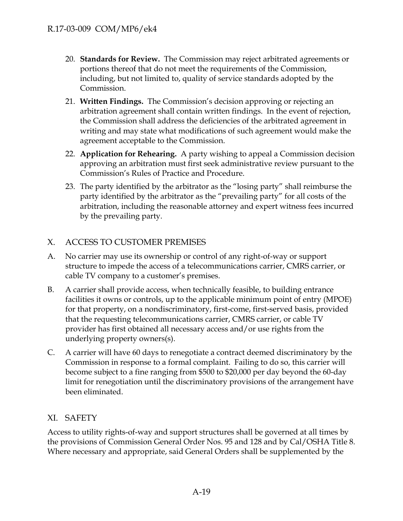- 20. **Standards for Review.** The Commission may reject arbitrated agreements or portions thereof that do not meet the requirements of the Commission, including, but not limited to, quality of service standards adopted by the Commission.
- 21. **Written Findings.** The Commission's decision approving or rejecting an arbitration agreement shall contain written findings. In the event of rejection, the Commission shall address the deficiencies of the arbitrated agreement in writing and may state what modifications of such agreement would make the agreement acceptable to the Commission.
- 22. **Application for Rehearing.** A party wishing to appeal a Commission decision approving an arbitration must first seek administrative review pursuant to the Commission's Rules of Practice and Procedure.
- 23. The party identified by the arbitrator as the "losing party" shall reimburse the party identified by the arbitrator as the "prevailing party" for all costs of the arbitration, including the reasonable attorney and expert witness fees incurred by the prevailing party.

# X. ACCESS TO CUSTOMER PREMISES

- A. No carrier may use its ownership or control of any right-of-way or support structure to impede the access of a telecommunications carrier, CMRS carrier, or cable TV company to a customer's premises.
- B. A carrier shall provide access, when technically feasible, to building entrance facilities it owns or controls, up to the applicable minimum point of entry (MPOE) for that property, on a nondiscriminatory, first-come, first-served basis, provided that the requesting telecommunications carrier, CMRS carrier, or cable TV provider has first obtained all necessary access and/or use rights from the underlying property owners(s).
- C. A carrier will have 60 days to renegotiate a contract deemed discriminatory by the Commission in response to a formal complaint. Failing to do so, this carrier will become subject to a fine ranging from \$500 to \$20,000 per day beyond the 60-day limit for renegotiation until the discriminatory provisions of the arrangement have been eliminated.

## XI. SAFETY

Access to utility rights-of-way and support structures shall be governed at all times by the provisions of Commission General Order Nos. 95 and 128 and by Cal/OSHA Title 8. Where necessary and appropriate, said General Orders shall be supplemented by the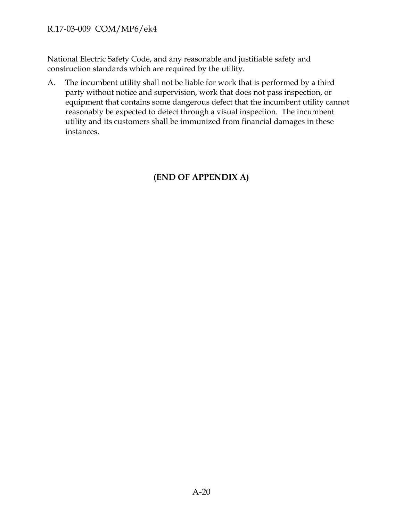National Electric Safety Code, and any reasonable and justifiable safety and construction standards which are required by the utility.

A. The incumbent utility shall not be liable for work that is performed by a third party without notice and supervision, work that does not pass inspection, or equipment that contains some dangerous defect that the incumbent utility cannot reasonably be expected to detect through a visual inspection. The incumbent utility and its customers shall be immunized from financial damages in these instances.

# **(END OF APPENDIX A)**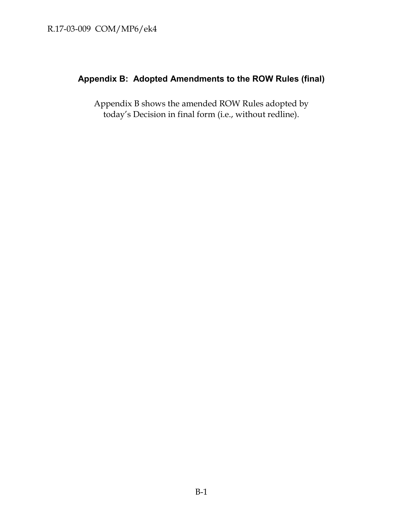# **Appendix B: Adopted Amendments to the ROW Rules (final)**

Appendix B shows the amended ROW Rules adopted by today's Decision in final form (i.e., without redline).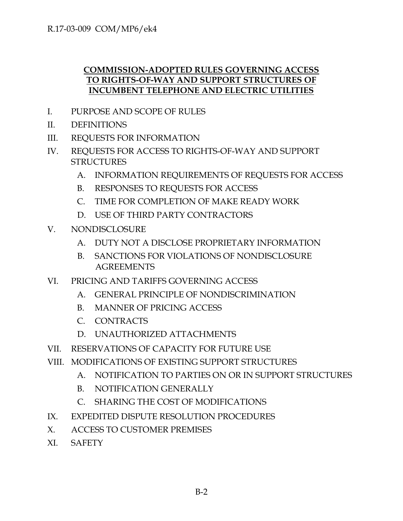# **COMMISSION-ADOPTED RULES GOVERNING ACCESS TO RIGHTS-OF-WAY AND SUPPORT STRUCTURES OF INCUMBENT TELEPHONE AND ELECTRIC UTILITIES**

- I. PURPOSE AND SCOPE OF RULES
- II. DEFINITIONS
- III. REQUESTS FOR INFORMATION
- IV. REQUESTS FOR ACCESS TO RIGHTS-OF-WAY AND SUPPORT **STRUCTURES** 
	- A. INFORMATION REQUIREMENTS OF REQUESTS FOR ACCESS
	- B. RESPONSES TO REQUESTS FOR ACCESS
	- C. TIME FOR COMPLETION OF MAKE READY WORK
	- D. USE OF THIRD PARTY CONTRACTORS
- V. NONDISCLOSURE
	- A. DUTY NOT A DISCLOSE PROPRIETARY INFORMATION
	- B. SANCTIONS FOR VIOLATIONS OF NONDISCLOSURE AGREEMENTS
- VI. PRICING AND TARIFFS GOVERNING ACCESS
	- A. GENERAL PRINCIPLE OF NONDISCRIMINATION
	- B. MANNER OF PRICING ACCESS
	- C. CONTRACTS
	- D. UNAUTHORIZED ATTACHMENTS
- VII. RESERVATIONS OF CAPACITY FOR FUTURE USE
- VIII. MODIFICATIONS OF EXISTING SUPPORT STRUCTURES
	- A. NOTIFICATION TO PARTIES ON OR IN SUPPORT STRUCTURES
	- B. NOTIFICATION GENERALLY
	- C. SHARING THE COST OF MODIFICATIONS
- IX. EXPEDITED DISPUTE RESOLUTION PROCEDURES
- X. ACCESS TO CUSTOMER PREMISES
- XI. SAFETY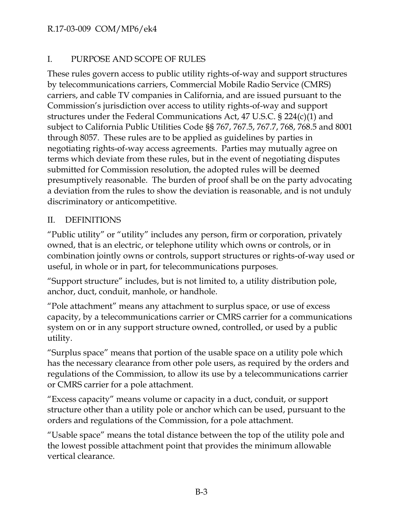# I. PURPOSE AND SCOPE OF RULES

These rules govern access to public utility rights-of-way and support structures by telecommunications carriers, Commercial Mobile Radio Service (CMRS) carriers, and cable TV companies in California, and are issued pursuant to the Commission's jurisdiction over access to utility rights-of-way and support structures under the Federal Communications Act, 47 U.S.C. § 224(c)(1) and subject to California Public Utilities Code §§ 767, 767.5, 767.7, 768, 768.5 and 8001 through 8057. These rules are to be applied as guidelines by parties in negotiating rights-of-way access agreements. Parties may mutually agree on terms which deviate from these rules, but in the event of negotiating disputes submitted for Commission resolution, the adopted rules will be deemed presumptively reasonable. The burden of proof shall be on the party advocating a deviation from the rules to show the deviation is reasonable, and is not unduly discriminatory or anticompetitive.

# II. DEFINITIONS

"Public utility" or "utility" includes any person, firm or corporation, privately owned, that is an electric, or telephone utility which owns or controls, or in combination jointly owns or controls, support structures or rights-of-way used or useful, in whole or in part, for telecommunications purposes.

"Support structure" includes, but is not limited to, a utility distribution pole, anchor, duct, conduit, manhole, or handhole.

"Pole attachment" means any attachment to surplus space, or use of excess capacity, by a telecommunications carrier or CMRS carrier for a communications system on or in any support structure owned, controlled, or used by a public utility.

"Surplus space" means that portion of the usable space on a utility pole which has the necessary clearance from other pole users, as required by the orders and regulations of the Commission, to allow its use by a telecommunications carrier or CMRS carrier for a pole attachment.

"Excess capacity" means volume or capacity in a duct, conduit, or support structure other than a utility pole or anchor which can be used, pursuant to the orders and regulations of the Commission, for a pole attachment.

"Usable space" means the total distance between the top of the utility pole and the lowest possible attachment point that provides the minimum allowable vertical clearance.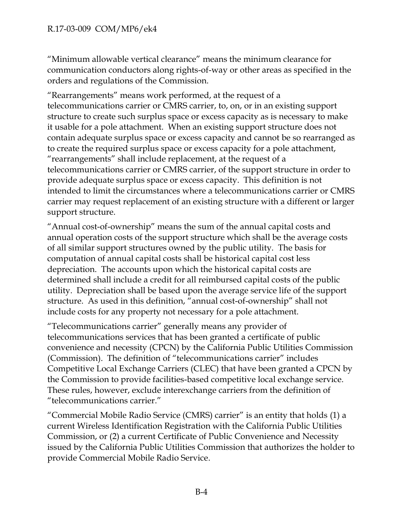"Minimum allowable vertical clearance" means the minimum clearance for communication conductors along rights-of-way or other areas as specified in the orders and regulations of the Commission.

"Rearrangements" means work performed, at the request of a telecommunications carrier or CMRS carrier, to, on, or in an existing support structure to create such surplus space or excess capacity as is necessary to make it usable for a pole attachment. When an existing support structure does not contain adequate surplus space or excess capacity and cannot be so rearranged as to create the required surplus space or excess capacity for a pole attachment, "rearrangements" shall include replacement, at the request of a telecommunications carrier or CMRS carrier, of the support structure in order to provide adequate surplus space or excess capacity. This definition is not intended to limit the circumstances where a telecommunications carrier or CMRS carrier may request replacement of an existing structure with a different or larger support structure.

"Annual cost-of-ownership" means the sum of the annual capital costs and annual operation costs of the support structure which shall be the average costs of all similar support structures owned by the public utility. The basis for computation of annual capital costs shall be historical capital cost less depreciation. The accounts upon which the historical capital costs are determined shall include a credit for all reimbursed capital costs of the public utility. Depreciation shall be based upon the average service life of the support structure. As used in this definition, "annual cost-of-ownership" shall not include costs for any property not necessary for a pole attachment.

"Telecommunications carrier" generally means any provider of telecommunications services that has been granted a certificate of public convenience and necessity (CPCN) by the California Public Utilities Commission (Commission). The definition of "telecommunications carrier" includes Competitive Local Exchange Carriers (CLEC) that have been granted a CPCN by the Commission to provide facilities-based competitive local exchange service. These rules, however, exclude interexchange carriers from the definition of "telecommunications carrier."

"Commercial Mobile Radio Service (CMRS) carrier" is an entity that holds (1) a current Wireless Identification Registration with the California Public Utilities Commission, or (2) a current Certificate of Public Convenience and Necessity issued by the California Public Utilities Commission that authorizes the holder to provide Commercial Mobile Radio Service.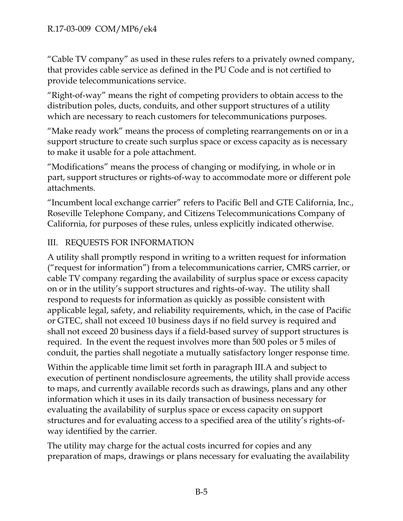"Cable TV company" as used in these rules refers to a privately owned company, that provides cable service as defined in the PU Code and is not certified to provide telecommunications service.

"Right-of-way" means the right of competing providers to obtain access to the distribution poles, ducts, conduits, and other support structures of a utility which are necessary to reach customers for telecommunications purposes.

"Make ready work" means the process of completing rearrangements on or in a support structure to create such surplus space or excess capacity as is necessary to make it usable for a pole attachment.

"Modifications" means the process of changing or modifying, in whole or in part, support structures or rights-of-way to accommodate more or different pole attachments.

"Incumbent local exchange carrier" refers to Pacific Bell and GTE California, Inc., Roseville Telephone Company, and Citizens Telecommunications Company of California, for purposes of these rules, unless explicitly indicated otherwise.

# III. REQUESTS FOR INFORMATION

A utility shall promptly respond in writing to a written request for information ("request for information") from a telecommunications carrier, CMRS carrier, or cable TV company regarding the availability of surplus space or excess capacity on or in the utility's support structures and rights-of-way. The utility shall respond to requests for information as quickly as possible consistent with applicable legal, safety, and reliability requirements, which, in the case of Pacific or GTEC, shall not exceed 10 business days if no field survey is required and shall not exceed 20 business days if a field-based survey of support structures is required. In the event the request involves more than 500 poles or 5 miles of conduit, the parties shall negotiate a mutually satisfactory longer response time.

Within the applicable time limit set forth in paragraph III.A and subject to execution of pertinent nondisclosure agreements, the utility shall provide access to maps, and currently available records such as drawings, plans and any other information which it uses in its daily transaction of business necessary for evaluating the availability of surplus space or excess capacity on support structures and for evaluating access to a specified area of the utility's rights-ofway identified by the carrier.

The utility may charge for the actual costs incurred for copies and any preparation of maps, drawings or plans necessary for evaluating the availability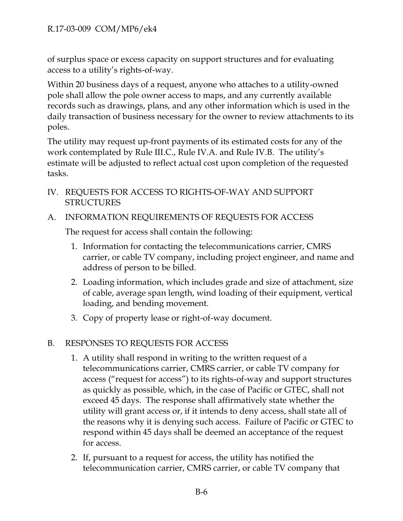of surplus space or excess capacity on support structures and for evaluating access to a utility's rights-of-way.

Within 20 business days of a request, anyone who attaches to a utility-owned pole shall allow the pole owner access to maps, and any currently available records such as drawings, plans, and any other information which is used in the daily transaction of business necessary for the owner to review attachments to its poles.

The utility may request up-front payments of its estimated costs for any of the work contemplated by Rule III.C., Rule IV.A. and Rule IV.B. The utility's estimate will be adjusted to reflect actual cost upon completion of the requested tasks.

- IV. REQUESTS FOR ACCESS TO RIGHTS-OF-WAY AND SUPPORT STRUCTURES
- A. INFORMATION REQUIREMENTS OF REQUESTS FOR ACCESS

The request for access shall contain the following:

- 1. Information for contacting the telecommunications carrier, CMRS carrier, or cable TV company, including project engineer, and name and address of person to be billed.
- 2. Loading information, which includes grade and size of attachment, size of cable, average span length, wind loading of their equipment, vertical loading, and bending movement.
- 3. Copy of property lease or right-of-way document.

# B. RESPONSES TO REQUESTS FOR ACCESS

- 1. A utility shall respond in writing to the written request of a telecommunications carrier, CMRS carrier, or cable TV company for access ("request for access") to its rights-of-way and support structures as quickly as possible, which, in the case of Pacific or GTEC, shall not exceed 45 days. The response shall affirmatively state whether the utility will grant access or, if it intends to deny access, shall state all of the reasons why it is denying such access. Failure of Pacific or GTEC to respond within 45 days shall be deemed an acceptance of the request for access.
- 2. If, pursuant to a request for access, the utility has notified the telecommunication carrier, CMRS carrier, or cable TV company that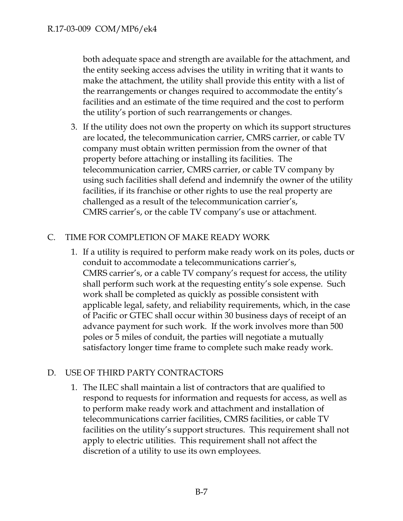both adequate space and strength are available for the attachment, and the entity seeking access advises the utility in writing that it wants to make the attachment, the utility shall provide this entity with a list of the rearrangements or changes required to accommodate the entity's facilities and an estimate of the time required and the cost to perform the utility's portion of such rearrangements or changes.

3. If the utility does not own the property on which its support structures are located, the telecommunication carrier, CMRS carrier, or cable TV company must obtain written permission from the owner of that property before attaching or installing its facilities. The telecommunication carrier, CMRS carrier, or cable TV company by using such facilities shall defend and indemnify the owner of the utility facilities, if its franchise or other rights to use the real property are challenged as a result of the telecommunication carrier's, CMRS carrier's, or the cable TV company's use or attachment.

# C. TIME FOR COMPLETION OF MAKE READY WORK

1. If a utility is required to perform make ready work on its poles, ducts or conduit to accommodate a telecommunications carrier's, CMRS carrier's, or a cable TV company's request for access, the utility shall perform such work at the requesting entity's sole expense. Such work shall be completed as quickly as possible consistent with applicable legal, safety, and reliability requirements, which, in the case of Pacific or GTEC shall occur within 30 business days of receipt of an advance payment for such work. If the work involves more than 500 poles or 5 miles of conduit, the parties will negotiate a mutually satisfactory longer time frame to complete such make ready work.

## D. USE OF THIRD PARTY CONTRACTORS

1. The ILEC shall maintain a list of contractors that are qualified to respond to requests for information and requests for access, as well as to perform make ready work and attachment and installation of telecommunications carrier facilities, CMRS facilities, or cable TV facilities on the utility's support structures. This requirement shall not apply to electric utilities. This requirement shall not affect the discretion of a utility to use its own employees.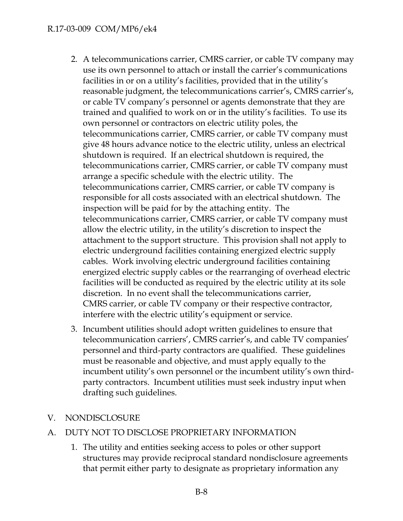- 2. A telecommunications carrier, CMRS carrier, or cable TV company may use its own personnel to attach or install the carrier's communications facilities in or on a utility's facilities, provided that in the utility's reasonable judgment, the telecommunications carrier's, CMRS carrier's, or cable TV company's personnel or agents demonstrate that they are trained and qualified to work on or in the utility's facilities. To use its own personnel or contractors on electric utility poles, the telecommunications carrier, CMRS carrier, or cable TV company must give 48 hours advance notice to the electric utility, unless an electrical shutdown is required. If an electrical shutdown is required, the telecommunications carrier, CMRS carrier, or cable TV company must arrange a specific schedule with the electric utility. The telecommunications carrier, CMRS carrier, or cable TV company is responsible for all costs associated with an electrical shutdown. The inspection will be paid for by the attaching entity. The telecommunications carrier, CMRS carrier, or cable TV company must allow the electric utility, in the utility's discretion to inspect the attachment to the support structure. This provision shall not apply to electric underground facilities containing energized electric supply cables. Work involving electric underground facilities containing energized electric supply cables or the rearranging of overhead electric facilities will be conducted as required by the electric utility at its sole discretion. In no event shall the telecommunications carrier, CMRS carrier, or cable TV company or their respective contractor, interfere with the electric utility's equipment or service.
- 3. Incumbent utilities should adopt written guidelines to ensure that telecommunication carriers', CMRS carrier's, and cable TV companies' personnel and third-party contractors are qualified. These guidelines must be reasonable and objective, and must apply equally to the incumbent utility's own personnel or the incumbent utility's own thirdparty contractors. Incumbent utilities must seek industry input when drafting such guidelines.

# V. NONDISCLOSURE

- A. DUTY NOT TO DISCLOSE PROPRIETARY INFORMATION
	- 1. The utility and entities seeking access to poles or other support structures may provide reciprocal standard nondisclosure agreements that permit either party to designate as proprietary information any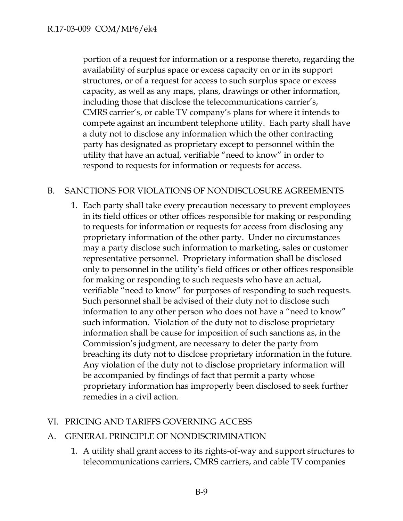portion of a request for information or a response thereto, regarding the availability of surplus space or excess capacity on or in its support structures, or of a request for access to such surplus space or excess capacity, as well as any maps, plans, drawings or other information, including those that disclose the telecommunications carrier's, CMRS carrier's, or cable TV company's plans for where it intends to compete against an incumbent telephone utility. Each party shall have a duty not to disclose any information which the other contracting party has designated as proprietary except to personnel within the utility that have an actual, verifiable "need to know" in order to respond to requests for information or requests for access.

# B. SANCTIONS FOR VIOLATIONS OF NONDISCLOSURE AGREEMENTS

1. Each party shall take every precaution necessary to prevent employees in its field offices or other offices responsible for making or responding to requests for information or requests for access from disclosing any proprietary information of the other party. Under no circumstances may a party disclose such information to marketing, sales or customer representative personnel. Proprietary information shall be disclosed only to personnel in the utility's field offices or other offices responsible for making or responding to such requests who have an actual, verifiable "need to know" for purposes of responding to such requests. Such personnel shall be advised of their duty not to disclose such information to any other person who does not have a "need to know" such information. Violation of the duty not to disclose proprietary information shall be cause for imposition of such sanctions as, in the Commission's judgment, are necessary to deter the party from breaching its duty not to disclose proprietary information in the future. Any violation of the duty not to disclose proprietary information will be accompanied by findings of fact that permit a party whose proprietary information has improperly been disclosed to seek further remedies in a civil action.

## VI. PRICING AND TARIFFS GOVERNING ACCESS

## A. GENERAL PRINCIPLE OF NONDISCRIMINATION

1. A utility shall grant access to its rights-of-way and support structures to telecommunications carriers, CMRS carriers, and cable TV companies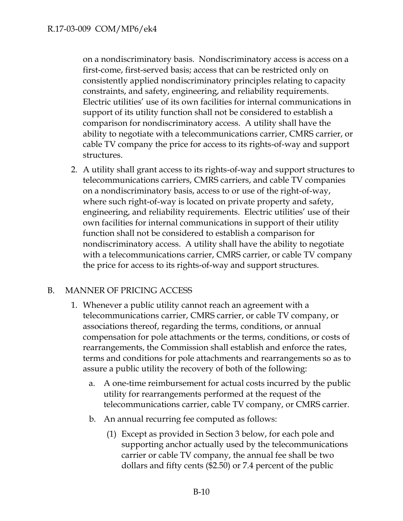on a nondiscriminatory basis. Nondiscriminatory access is access on a first-come, first-served basis; access that can be restricted only on consistently applied nondiscriminatory principles relating to capacity constraints, and safety, engineering, and reliability requirements. Electric utilities' use of its own facilities for internal communications in support of its utility function shall not be considered to establish a comparison for nondiscriminatory access. A utility shall have the ability to negotiate with a telecommunications carrier, CMRS carrier, or cable TV company the price for access to its rights-of-way and support structures.

2. A utility shall grant access to its rights-of-way and support structures to telecommunications carriers, CMRS carriers, and cable TV companies on a nondiscriminatory basis, access to or use of the right-of-way, where such right-of-way is located on private property and safety, engineering, and reliability requirements. Electric utilities' use of their own facilities for internal communications in support of their utility function shall not be considered to establish a comparison for nondiscriminatory access. A utility shall have the ability to negotiate with a telecommunications carrier, CMRS carrier, or cable TV company the price for access to its rights-of-way and support structures.

# B. MANNER OF PRICING ACCESS

- 1. Whenever a public utility cannot reach an agreement with a telecommunications carrier, CMRS carrier, or cable TV company, or associations thereof, regarding the terms, conditions, or annual compensation for pole attachments or the terms, conditions, or costs of rearrangements, the Commission shall establish and enforce the rates, terms and conditions for pole attachments and rearrangements so as to assure a public utility the recovery of both of the following:
	- a. A one-time reimbursement for actual costs incurred by the public utility for rearrangements performed at the request of the telecommunications carrier, cable TV company, or CMRS carrier.
	- b. An annual recurring fee computed as follows:
		- (1) Except as provided in Section 3 below, for each pole and supporting anchor actually used by the telecommunications carrier or cable TV company, the annual fee shall be two dollars and fifty cents (\$2.50) or 7.4 percent of the public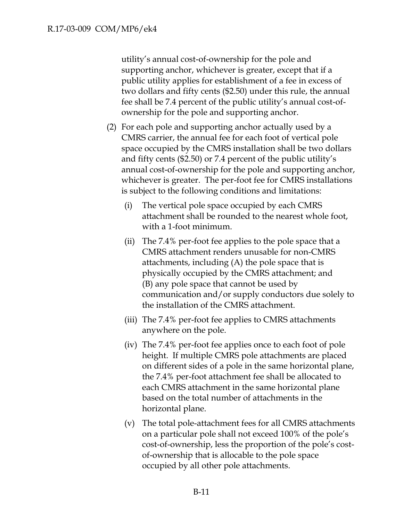utility's annual cost-of-ownership for the pole and supporting anchor, whichever is greater, except that if a public utility applies for establishment of a fee in excess of two dollars and fifty cents (\$2.50) under this rule, the annual fee shall be 7.4 percent of the public utility's annual cost-ofownership for the pole and supporting anchor.

- (2) For each pole and supporting anchor actually used by a CMRS carrier, the annual fee for each foot of vertical pole space occupied by the CMRS installation shall be two dollars and fifty cents (\$2.50) or 7.4 percent of the public utility's annual cost-of-ownership for the pole and supporting anchor, whichever is greater. The per-foot fee for CMRS installations is subject to the following conditions and limitations:
	- (i) The vertical pole space occupied by each CMRS attachment shall be rounded to the nearest whole foot, with a 1-foot minimum.
	- (ii) The 7.4% per-foot fee applies to the pole space that a CMRS attachment renders unusable for non-CMRS attachments, including (A) the pole space that is physically occupied by the CMRS attachment; and (B) any pole space that cannot be used by communication and/or supply conductors due solely to the installation of the CMRS attachment.
	- (iii) The 7.4% per-foot fee applies to CMRS attachments anywhere on the pole.
	- (iv) The 7.4% per-foot fee applies once to each foot of pole height. If multiple CMRS pole attachments are placed on different sides of a pole in the same horizontal plane, the 7.4% per-foot attachment fee shall be allocated to each CMRS attachment in the same horizontal plane based on the total number of attachments in the horizontal plane.
	- (v) The total pole-attachment fees for all CMRS attachments on a particular pole shall not exceed 100% of the pole's cost-of-ownership, less the proportion of the pole's costof-ownership that is allocable to the pole space occupied by all other pole attachments.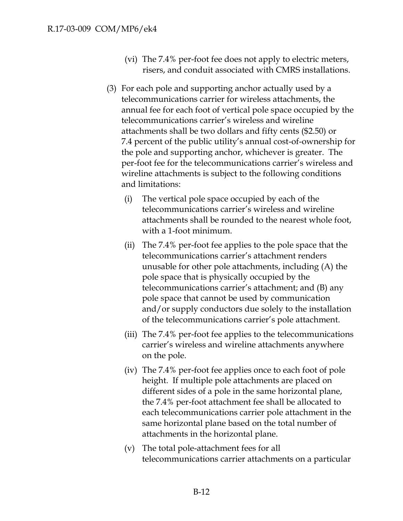- (vi) The 7.4% per-foot fee does not apply to electric meters, risers, and conduit associated with CMRS installations.
- (3) For each pole and supporting anchor actually used by a telecommunications carrier for wireless attachments, the annual fee for each foot of vertical pole space occupied by the telecommunications carrier's wireless and wireline attachments shall be two dollars and fifty cents (\$2.50) or 7.4 percent of the public utility's annual cost-of-ownership for the pole and supporting anchor, whichever is greater. The per-foot fee for the telecommunications carrier's wireless and wireline attachments is subject to the following conditions and limitations:
	- (i) The vertical pole space occupied by each of the telecommunications carrier's wireless and wireline attachments shall be rounded to the nearest whole foot, with a 1-foot minimum.
	- (ii) The 7.4% per-foot fee applies to the pole space that the telecommunications carrier's attachment renders unusable for other pole attachments, including (A) the pole space that is physically occupied by the telecommunications carrier's attachment; and (B) any pole space that cannot be used by communication and/or supply conductors due solely to the installation of the telecommunications carrier's pole attachment.
	- (iii) The 7.4% per-foot fee applies to the telecommunications carrier's wireless and wireline attachments anywhere on the pole.
	- (iv) The 7.4% per-foot fee applies once to each foot of pole height. If multiple pole attachments are placed on different sides of a pole in the same horizontal plane, the 7.4% per-foot attachment fee shall be allocated to each telecommunications carrier pole attachment in the same horizontal plane based on the total number of attachments in the horizontal plane.
	- (v) The total pole-attachment fees for all telecommunications carrier attachments on a particular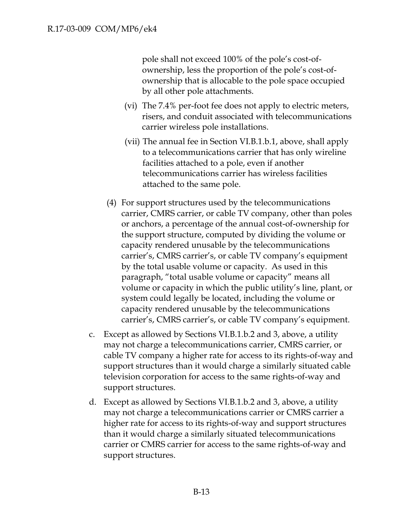pole shall not exceed 100% of the pole's cost-ofownership, less the proportion of the pole's cost-ofownership that is allocable to the pole space occupied by all other pole attachments.

- (vi) The 7.4% per-foot fee does not apply to electric meters, risers, and conduit associated with telecommunications carrier wireless pole installations.
- (vii) The annual fee in Section VI.B.1.b.1, above, shall apply to a telecommunications carrier that has only wireline facilities attached to a pole, even if another telecommunications carrier has wireless facilities attached to the same pole.
- (4) For support structures used by the telecommunications carrier, CMRS carrier, or cable TV company, other than poles or anchors, a percentage of the annual cost-of-ownership for the support structure, computed by dividing the volume or capacity rendered unusable by the telecommunications carrier's, CMRS carrier's, or cable TV company's equipment by the total usable volume or capacity. As used in this paragraph, "total usable volume or capacity" means all volume or capacity in which the public utility's line, plant, or system could legally be located, including the volume or capacity rendered unusable by the telecommunications carrier's, CMRS carrier's, or cable TV company's equipment.
- c. Except as allowed by Sections VI.B.1.b.2 and 3, above, a utility may not charge a telecommunications carrier, CMRS carrier, or cable TV company a higher rate for access to its rights-of-way and support structures than it would charge a similarly situated cable television corporation for access to the same rights-of-way and support structures.
- d. Except as allowed by Sections VI.B.1.b.2 and 3, above, a utility may not charge a telecommunications carrier or CMRS carrier a higher rate for access to its rights-of-way and support structures than it would charge a similarly situated telecommunications carrier or CMRS carrier for access to the same rights-of-way and support structures.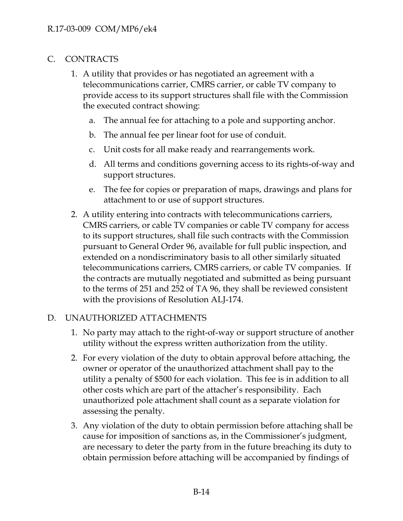#### C. CONTRACTS

- 1. A utility that provides or has negotiated an agreement with a telecommunications carrier, CMRS carrier, or cable TV company to provide access to its support structures shall file with the Commission the executed contract showing:
	- a. The annual fee for attaching to a pole and supporting anchor.
	- b. The annual fee per linear foot for use of conduit.
	- c. Unit costs for all make ready and rearrangements work.
	- d. All terms and conditions governing access to its rights-of-way and support structures.
	- e. The fee for copies or preparation of maps, drawings and plans for attachment to or use of support structures.
- 2. A utility entering into contracts with telecommunications carriers, CMRS carriers, or cable TV companies or cable TV company for access to its support structures, shall file such contracts with the Commission pursuant to General Order 96, available for full public inspection, and extended on a nondiscriminatory basis to all other similarly situated telecommunications carriers, CMRS carriers, or cable TV companies. If the contracts are mutually negotiated and submitted as being pursuant to the terms of 251 and 252 of TA 96, they shall be reviewed consistent with the provisions of Resolution ALJ-174.

### D. UNAUTHORIZED ATTACHMENTS

- 1. No party may attach to the right-of-way or support structure of another utility without the express written authorization from the utility.
- 2. For every violation of the duty to obtain approval before attaching, the owner or operator of the unauthorized attachment shall pay to the utility a penalty of \$500 for each violation. This fee is in addition to all other costs which are part of the attacher's responsibility. Each unauthorized pole attachment shall count as a separate violation for assessing the penalty.
- 3. Any violation of the duty to obtain permission before attaching shall be cause for imposition of sanctions as, in the Commissioner's judgment, are necessary to deter the party from in the future breaching its duty to obtain permission before attaching will be accompanied by findings of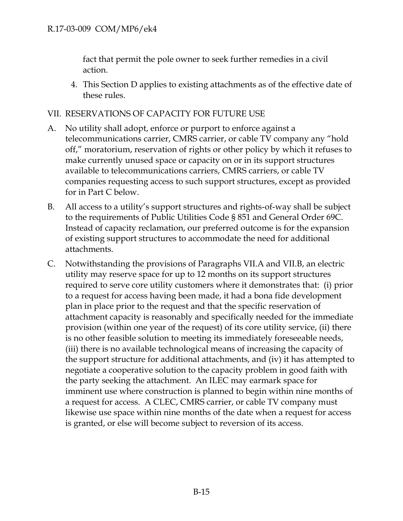fact that permit the pole owner to seek further remedies in a civil action.

4. This Section D applies to existing attachments as of the effective date of these rules.

## VII. RESERVATIONS OF CAPACITY FOR FUTURE USE

- A. No utility shall adopt, enforce or purport to enforce against a telecommunications carrier, CMRS carrier, or cable TV company any "hold off," moratorium, reservation of rights or other policy by which it refuses to make currently unused space or capacity on or in its support structures available to telecommunications carriers, CMRS carriers, or cable TV companies requesting access to such support structures, except as provided for in Part C below.
- B. All access to a utility's support structures and rights-of-way shall be subject to the requirements of Public Utilities Code § 851 and General Order 69C. Instead of capacity reclamation, our preferred outcome is for the expansion of existing support structures to accommodate the need for additional attachments.
- C. Notwithstanding the provisions of Paragraphs VII.A and VII.B, an electric utility may reserve space for up to 12 months on its support structures required to serve core utility customers where it demonstrates that: (i) prior to a request for access having been made, it had a bona fide development plan in place prior to the request and that the specific reservation of attachment capacity is reasonably and specifically needed for the immediate provision (within one year of the request) of its core utility service, (ii) there is no other feasible solution to meeting its immediately foreseeable needs, (iii) there is no available technological means of increasing the capacity of the support structure for additional attachments, and (iv) it has attempted to negotiate a cooperative solution to the capacity problem in good faith with the party seeking the attachment. An ILEC may earmark space for imminent use where construction is planned to begin within nine months of a request for access. A CLEC, CMRS carrier, or cable TV company must likewise use space within nine months of the date when a request for access is granted, or else will become subject to reversion of its access.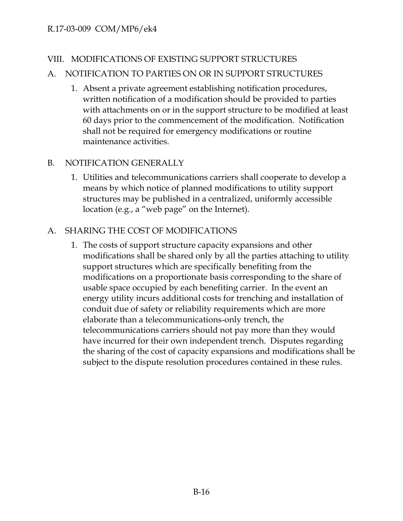### VIII. MODIFICATIONS OF EXISTING SUPPORT STRUCTURES

## A. NOTIFICATION TO PARTIES ON OR IN SUPPORT STRUCTURES

1. Absent a private agreement establishing notification procedures, written notification of a modification should be provided to parties with attachments on or in the support structure to be modified at least 60 days prior to the commencement of the modification. Notification shall not be required for emergency modifications or routine maintenance activities.

# B. NOTIFICATION GENERALLY

1. Utilities and telecommunications carriers shall cooperate to develop a means by which notice of planned modifications to utility support structures may be published in a centralized, uniformly accessible location (e.g., a "web page" on the Internet).

## A. SHARING THE COST OF MODIFICATIONS

1. The costs of support structure capacity expansions and other modifications shall be shared only by all the parties attaching to utility support structures which are specifically benefiting from the modifications on a proportionate basis corresponding to the share of usable space occupied by each benefiting carrier. In the event an energy utility incurs additional costs for trenching and installation of conduit due of safety or reliability requirements which are more elaborate than a telecommunications-only trench, the telecommunications carriers should not pay more than they would have incurred for their own independent trench. Disputes regarding the sharing of the cost of capacity expansions and modifications shall be subject to the dispute resolution procedures contained in these rules.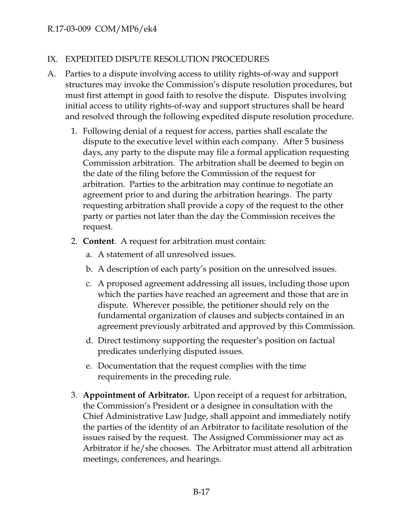### IX. EXPEDITED DISPUTE RESOLUTION PROCEDURES

- A. Parties to a dispute involving access to utility rights-of-way and support structures may invoke the Commission's dispute resolution procedures, but must first attempt in good faith to resolve the dispute. Disputes involving initial access to utility rights-of-way and support structures shall be heard and resolved through the following expedited dispute resolution procedure.
	- 1. Following denial of a request for access, parties shall escalate the dispute to the executive level within each company. After 5 business days, any party to the dispute may file a formal application requesting Commission arbitration. The arbitration shall be deemed to begin on the date of the filing before the Commission of the request for arbitration. Parties to the arbitration may continue to negotiate an agreement prior to and during the arbitration hearings. The party requesting arbitration shall provide a copy of the request to the other party or parties not later than the day the Commission receives the request.
	- 2. **Content**. A request for arbitration must contain:
		- a. A statement of all unresolved issues.
		- b. A description of each party's position on the unresolved issues.
		- c. A proposed agreement addressing all issues, including those upon which the parties have reached an agreement and those that are in dispute. Wherever possible, the petitioner should rely on the fundamental organization of clauses and subjects contained in an agreement previously arbitrated and approved by this Commission.
		- d. Direct testimony supporting the requester's position on factual predicates underlying disputed issues.
		- e. Documentation that the request complies with the time requirements in the preceding rule.
	- 3. **Appointment of Arbitrator.** Upon receipt of a request for arbitration, the Commission's President or a designee in consultation with the Chief Administrative Law Judge, shall appoint and immediately notify the parties of the identity of an Arbitrator to facilitate resolution of the issues raised by the request. The Assigned Commissioner may act as Arbitrator if he/she chooses. The Arbitrator must attend all arbitration meetings, conferences, and hearings.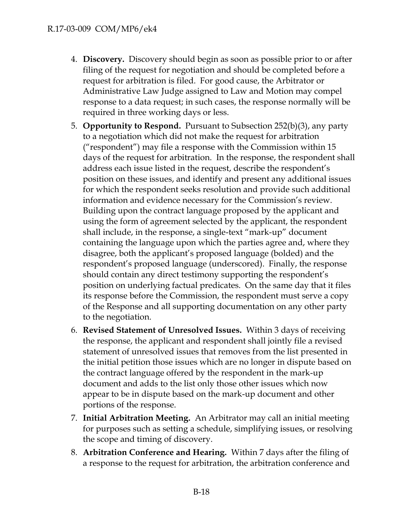- 4. **Discovery.** Discovery should begin as soon as possible prior to or after filing of the request for negotiation and should be completed before a request for arbitration is filed. For good cause, the Arbitrator or Administrative Law Judge assigned to Law and Motion may compel response to a data request; in such cases, the response normally will be required in three working days or less.
- 5. **Opportunity to Respond.** Pursuant to Subsection 252(b)(3), any party to a negotiation which did not make the request for arbitration ("respondent") may file a response with the Commission within 15 days of the request for arbitration. In the response, the respondent shall address each issue listed in the request, describe the respondent's position on these issues, and identify and present any additional issues for which the respondent seeks resolution and provide such additional information and evidence necessary for the Commission's review. Building upon the contract language proposed by the applicant and using the form of agreement selected by the applicant, the respondent shall include, in the response, a single-text "mark-up" document containing the language upon which the parties agree and, where they disagree, both the applicant's proposed language (bolded) and the respondent's proposed language (underscored). Finally, the response should contain any direct testimony supporting the respondent's position on underlying factual predicates. On the same day that it files its response before the Commission, the respondent must serve a copy of the Response and all supporting documentation on any other party to the negotiation.
- 6. **Revised Statement of Unresolved Issues.** Within 3 days of receiving the response, the applicant and respondent shall jointly file a revised statement of unresolved issues that removes from the list presented in the initial petition those issues which are no longer in dispute based on the contract language offered by the respondent in the mark-up document and adds to the list only those other issues which now appear to be in dispute based on the mark-up document and other portions of the response.
- 7. **Initial Arbitration Meeting.** An Arbitrator may call an initial meeting for purposes such as setting a schedule, simplifying issues, or resolving the scope and timing of discovery.
- 8. **Arbitration Conference and Hearing.** Within 7 days after the filing of a response to the request for arbitration, the arbitration conference and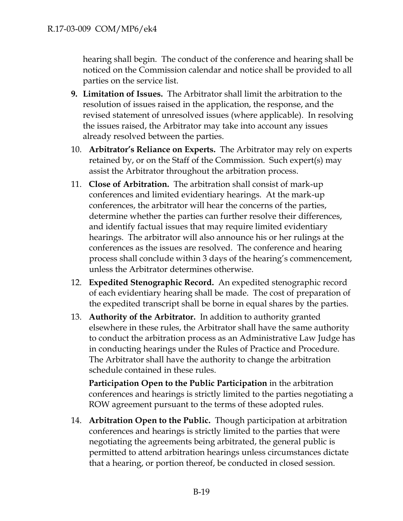hearing shall begin. The conduct of the conference and hearing shall be noticed on the Commission calendar and notice shall be provided to all parties on the service list.

- **9. Limitation of Issues.** The Arbitrator shall limit the arbitration to the resolution of issues raised in the application, the response, and the revised statement of unresolved issues (where applicable). In resolving the issues raised, the Arbitrator may take into account any issues already resolved between the parties.
- 10. **Arbitrator's Reliance on Experts.** The Arbitrator may rely on experts retained by, or on the Staff of the Commission. Such expert(s) may assist the Arbitrator throughout the arbitration process.
- 11. **Close of Arbitration.** The arbitration shall consist of mark-up conferences and limited evidentiary hearings. At the mark-up conferences, the arbitrator will hear the concerns of the parties, determine whether the parties can further resolve their differences, and identify factual issues that may require limited evidentiary hearings. The arbitrator will also announce his or her rulings at the conferences as the issues are resolved. The conference and hearing process shall conclude within 3 days of the hearing's commencement, unless the Arbitrator determines otherwise.
- 12. **Expedited Stenographic Record.** An expedited stenographic record of each evidentiary hearing shall be made. The cost of preparation of the expedited transcript shall be borne in equal shares by the parties.
- 13. **Authority of the Arbitrator.** In addition to authority granted elsewhere in these rules, the Arbitrator shall have the same authority to conduct the arbitration process as an Administrative Law Judge has in conducting hearings under the Rules of Practice and Procedure. The Arbitrator shall have the authority to change the arbitration schedule contained in these rules.

**Participation Open to the Public Participation** in the arbitration conferences and hearings is strictly limited to the parties negotiating a ROW agreement pursuant to the terms of these adopted rules.

14. **Arbitration Open to the Public.** Though participation at arbitration conferences and hearings is strictly limited to the parties that were negotiating the agreements being arbitrated, the general public is permitted to attend arbitration hearings unless circumstances dictate that a hearing, or portion thereof, be conducted in closed session.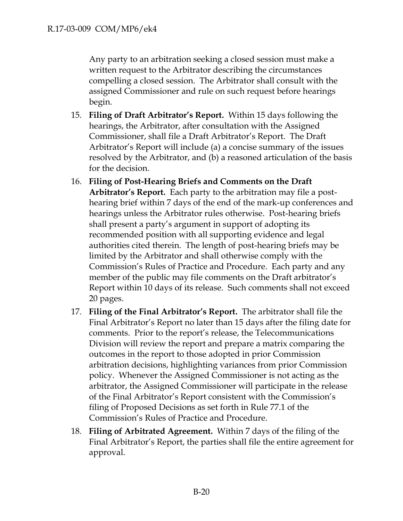Any party to an arbitration seeking a closed session must make a written request to the Arbitrator describing the circumstances compelling a closed session. The Arbitrator shall consult with the assigned Commissioner and rule on such request before hearings begin.

- 15. **Filing of Draft Arbitrator's Report.** Within 15 days following the hearings, the Arbitrator, after consultation with the Assigned Commissioner, shall file a Draft Arbitrator's Report. The Draft Arbitrator's Report will include (a) a concise summary of the issues resolved by the Arbitrator, and (b) a reasoned articulation of the basis for the decision.
- 16. **Filing of Post-Hearing Briefs and Comments on the Draft Arbitrator's Report.** Each party to the arbitration may file a posthearing brief within 7 days of the end of the mark-up conferences and hearings unless the Arbitrator rules otherwise. Post-hearing briefs shall present a party's argument in support of adopting its recommended position with all supporting evidence and legal authorities cited therein. The length of post-hearing briefs may be limited by the Arbitrator and shall otherwise comply with the Commission's Rules of Practice and Procedure. Each party and any member of the public may file comments on the Draft arbitrator's Report within 10 days of its release. Such comments shall not exceed 20 pages.
- 17. **Filing of the Final Arbitrator's Report.** The arbitrator shall file the Final Arbitrator's Report no later than 15 days after the filing date for comments. Prior to the report's release, the Telecommunications Division will review the report and prepare a matrix comparing the outcomes in the report to those adopted in prior Commission arbitration decisions, highlighting variances from prior Commission policy. Whenever the Assigned Commissioner is not acting as the arbitrator, the Assigned Commissioner will participate in the release of the Final Arbitrator's Report consistent with the Commission's filing of Proposed Decisions as set forth in Rule 77.1 of the Commission's Rules of Practice and Procedure.
- 18. **Filing of Arbitrated Agreement.** Within 7 days of the filing of the Final Arbitrator's Report, the parties shall file the entire agreement for approval.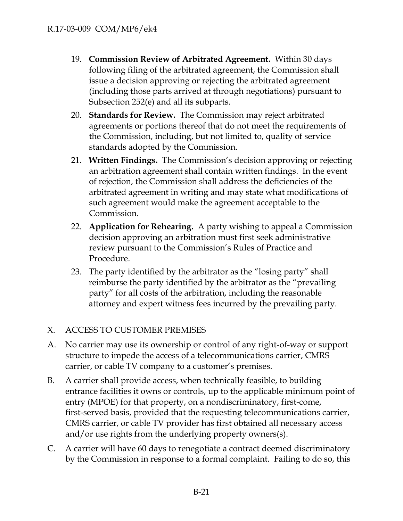- 19. **Commission Review of Arbitrated Agreement.** Within 30 days following filing of the arbitrated agreement, the Commission shall issue a decision approving or rejecting the arbitrated agreement (including those parts arrived at through negotiations) pursuant to Subsection 252(e) and all its subparts.
- 20. **Standards for Review.** The Commission may reject arbitrated agreements or portions thereof that do not meet the requirements of the Commission, including, but not limited to, quality of service standards adopted by the Commission.
- 21. **Written Findings.** The Commission's decision approving or rejecting an arbitration agreement shall contain written findings. In the event of rejection, the Commission shall address the deficiencies of the arbitrated agreement in writing and may state what modifications of such agreement would make the agreement acceptable to the Commission.
- 22. **Application for Rehearing.** A party wishing to appeal a Commission decision approving an arbitration must first seek administrative review pursuant to the Commission's Rules of Practice and Procedure.
- 23. The party identified by the arbitrator as the "losing party" shall reimburse the party identified by the arbitrator as the "prevailing party" for all costs of the arbitration, including the reasonable attorney and expert witness fees incurred by the prevailing party.

# X. ACCESS TO CUSTOMER PREMISES

- A. No carrier may use its ownership or control of any right-of-way or support structure to impede the access of a telecommunications carrier, CMRS carrier, or cable TV company to a customer's premises.
- B. A carrier shall provide access, when technically feasible, to building entrance facilities it owns or controls, up to the applicable minimum point of entry (MPOE) for that property, on a nondiscriminatory, first-come, first-served basis, provided that the requesting telecommunications carrier, CMRS carrier, or cable TV provider has first obtained all necessary access and/or use rights from the underlying property owners(s).
- C. A carrier will have 60 days to renegotiate a contract deemed discriminatory by the Commission in response to a formal complaint. Failing to do so, this